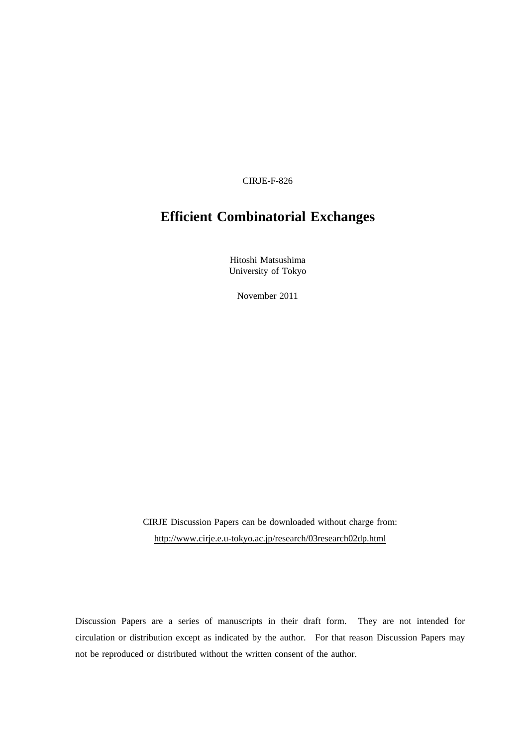CIRJE-F-826

# **Efficient Combinatorial Exchanges**

Hitoshi Matsushima University of Tokyo

November 2011

CIRJE Discussion Papers can be downloaded without charge from: http://www.cirje.e.u-tokyo.ac.jp/research/03research02dp.html

Discussion Papers are a series of manuscripts in their draft form. They are not intended for circulation or distribution except as indicated by the author. For that reason Discussion Papers may not be reproduced or distributed without the written consent of the author.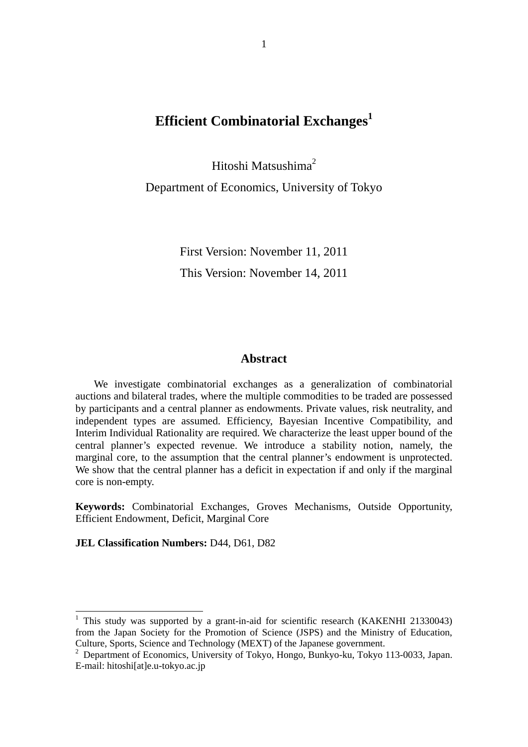# **Efficient Combinatorial Exchanges**<sup>1</sup>

Hitoshi Matsushima<sup>2</sup> Department of Economics, University of Tokyo

> First Version: November 11, 2011 This Version: November 14, 2011

#### **Abstract**

 We investigate combinatorial exchanges as a generalization of combinatorial auctions and bilateral trades, where the multiple commodities to be traded are possessed by participants and a central planner as endowments. Private values, risk neutrality, and independent types are assumed. Efficiency, Bayesian Incentive Compatibility, and Interim Individual Rationality are required. We characterize the least upper bound of the central planner's expected revenue. We introduce a stability notion, namely, the marginal core, to the assumption that the central planner's endowment is unprotected. We show that the central planner has a deficit in expectation if and only if the marginal core is non-empty.

**Keywords:** Combinatorial Exchanges, Groves Mechanisms, Outside Opportunity, Efficient Endowment, Deficit, Marginal Core

**JEL Classification Numbers:** D44, D61, D82

-

<sup>&</sup>lt;sup>1</sup> This study was supported by a grant-in-aid for scientific research (KAKENHI 21330043) from the Japan Society for the Promotion of Science (JSPS) and the Ministry of Education, Culture, Sports, Science and Technology (MEXT) of the Japanese government.

<sup>&</sup>lt;sup>2</sup> Department of Economics, University of Tokyo, Hongo, Bunkyo-ku, Tokyo 113-0033, Japan. E-mail: hitoshi[at]e.u-tokyo.ac.jp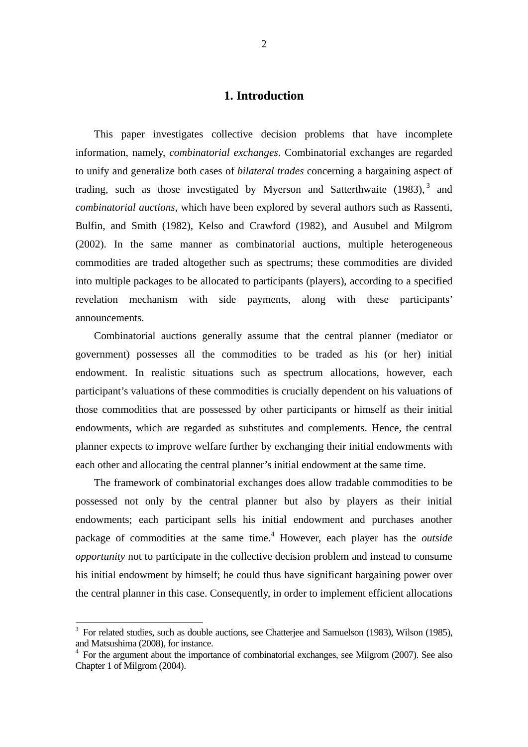## **1. Introduction**

 This paper investigates collective decision problems that have incomplete information, namely, *combinatorial exchanges*. Combinatorial exchanges are regarded to unify and generalize both cases of *bilateral trades* concerning a bargaining aspect of trading, such as those investigated by Myerson and Satterthwaite  $(1983)$ , and *combinatorial auctions*, which have been explored by several authors such as Rassenti, Bulfin, and Smith (1982), Kelso and Crawford (1982), and Ausubel and Milgrom (2002). In the same manner as combinatorial auctions, multiple heterogeneous commodities are traded altogether such as spectrums; these commodities are divided into multiple packages to be allocated to participants (players), according to a specified revelation mechanism with side payments, along with these participants' announcements.

Combinatorial auctions generally assume that the central planner (mediator or government) possesses all the commodities to be traded as his (or her) initial endowment. In realistic situations such as spectrum allocations, however, each participant's valuations of these commodities is crucially dependent on his valuations of those commodities that are possessed by other participants or himself as their initial endowments, which are regarded as substitutes and complements. Hence, the central planner expects to improve welfare further by exchanging their initial endowments with each other and allocating the central planner's initial endowment at the same time.

The framework of combinatorial exchanges does allow tradable commodities to be possessed not only by the central planner but also by players as their initial endowments; each participant sells his initial endowment and purchases another package of commodities at the same time.<sup>4</sup> However, each player has the *outside opportunity* not to participate in the collective decision problem and instead to consume his initial endowment by himself; he could thus have significant bargaining power over the central planner in this case. Consequently, in order to implement efficient allocations

-

<sup>&</sup>lt;sup>3</sup> For related studies, such as double auctions, see Chatterjee and Samuelson (1983), Wilson (1985), and Matsushima (2008), for instance.

<sup>&</sup>lt;sup>4</sup> For the argument about the importance of combinatorial exchanges, see Milgrom (2007). See also Chapter 1 of Milgrom (2004).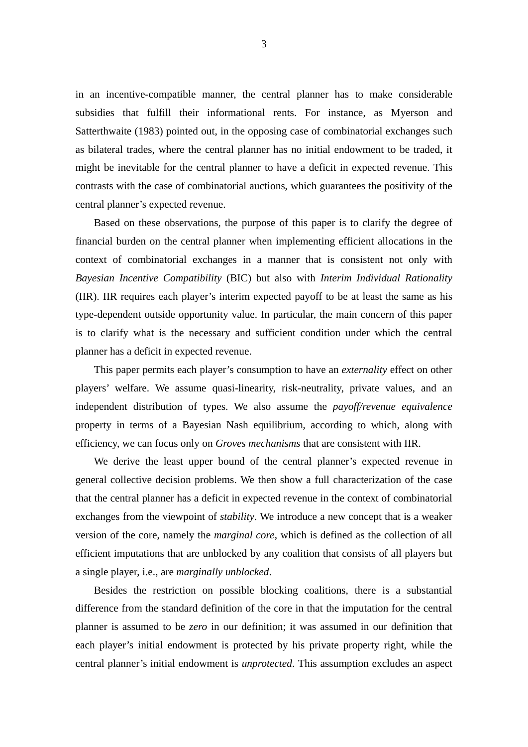in an incentive-compatible manner, the central planner has to make considerable subsidies that fulfill their informational rents. For instance, as Myerson and Satterthwaite (1983) pointed out, in the opposing case of combinatorial exchanges such as bilateral trades, where the central planner has no initial endowment to be traded, it might be inevitable for the central planner to have a deficit in expected revenue. This contrasts with the case of combinatorial auctions, which guarantees the positivity of the central planner's expected revenue.

 Based on these observations, the purpose of this paper is to clarify the degree of financial burden on the central planner when implementing efficient allocations in the context of combinatorial exchanges in a manner that is consistent not only with *Bayesian Incentive Compatibility* (BIC) but also with *Interim Individual Rationality* (IIR). IIR requires each player's interim expected payoff to be at least the same as his type-dependent outside opportunity value. In particular, the main concern of this paper is to clarify what is the necessary and sufficient condition under which the central planner has a deficit in expected revenue.

 This paper permits each player's consumption to have an *externality* effect on other players' welfare. We assume quasi-linearity, risk-neutrality, private values, and an independent distribution of types. We also assume the *payoff/revenue equivalence* property in terms of a Bayesian Nash equilibrium, according to which, along with efficiency, we can focus only on *Groves mechanisms* that are consistent with IIR.

 We derive the least upper bound of the central planner's expected revenue in general collective decision problems. We then show a full characterization of the case that the central planner has a deficit in expected revenue in the context of combinatorial exchanges from the viewpoint of *stability*. We introduce a new concept that is a weaker version of the core, namely the *marginal core*, which is defined as the collection of all efficient imputations that are unblocked by any coalition that consists of all players but a single player, i.e., are *marginally unblocked*.

Besides the restriction on possible blocking coalitions, there is a substantial difference from the standard definition of the core in that the imputation for the central planner is assumed to be *zero* in our definition; it was assumed in our definition that each player's initial endowment is protected by his private property right, while the central planner's initial endowment is *unprotected*. This assumption excludes an aspect

3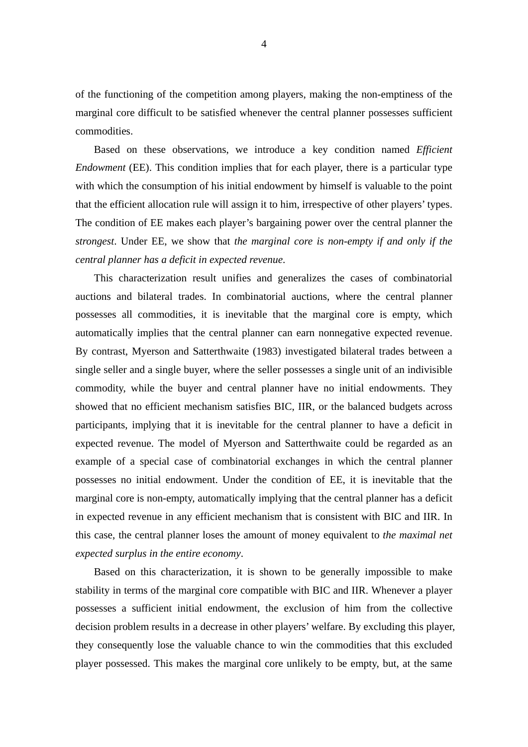of the functioning of the competition among players, making the non-emptiness of the marginal core difficult to be satisfied whenever the central planner possesses sufficient commodities.

 Based on these observations, we introduce a key condition named *Efficient Endowment* (EE). This condition implies that for each player, there is a particular type with which the consumption of his initial endowment by himself is valuable to the point that the efficient allocation rule will assign it to him, irrespective of other players' types. The condition of EE makes each player's bargaining power over the central planner the *strongest*. Under EE, we show that *the marginal core is non-empty if and only if the central planner has a deficit in expected revenue*.

 This characterization result unifies and generalizes the cases of combinatorial auctions and bilateral trades. In combinatorial auctions, where the central planner possesses all commodities, it is inevitable that the marginal core is empty, which automatically implies that the central planner can earn nonnegative expected revenue. By contrast, Myerson and Satterthwaite (1983) investigated bilateral trades between a single seller and a single buyer, where the seller possesses a single unit of an indivisible commodity, while the buyer and central planner have no initial endowments. They showed that no efficient mechanism satisfies BIC, IIR, or the balanced budgets across participants, implying that it is inevitable for the central planner to have a deficit in expected revenue. The model of Myerson and Satterthwaite could be regarded as an example of a special case of combinatorial exchanges in which the central planner possesses no initial endowment. Under the condition of EE, it is inevitable that the marginal core is non-empty, automatically implying that the central planner has a deficit in expected revenue in any efficient mechanism that is consistent with BIC and IIR. In this case, the central planner loses the amount of money equivalent to *the maximal net expected surplus in the entire economy*.

Based on this characterization, it is shown to be generally impossible to make stability in terms of the marginal core compatible with BIC and IIR. Whenever a player possesses a sufficient initial endowment, the exclusion of him from the collective decision problem results in a decrease in other players' welfare. By excluding this player, they consequently lose the valuable chance to win the commodities that this excluded player possessed. This makes the marginal core unlikely to be empty, but, at the same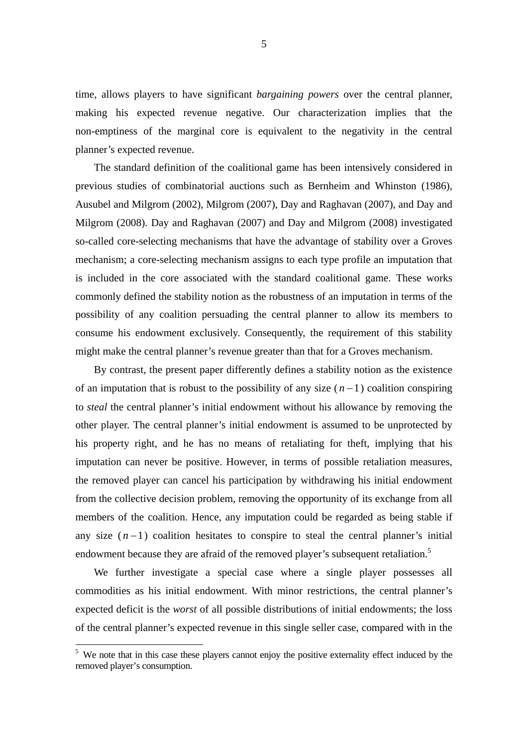time, allows players to have significant *bargaining powers* over the central planner, making his expected revenue negative. Our characterization implies that the non-emptiness of the marginal core is equivalent to the negativity in the central planner's expected revenue.

The standard definition of the coalitional game has been intensively considered in previous studies of combinatorial auctions such as Bernheim and Whinston (1986), Ausubel and Milgrom (2002), Milgrom (2007), Day and Raghavan (2007), and Day and Milgrom (2008). Day and Raghavan (2007) and Day and Milgrom (2008) investigated so-called core-selecting mechanisms that have the advantage of stability over a Groves mechanism; a core-selecting mechanism assigns to each type profile an imputation that is included in the core associated with the standard coalitional game. These works commonly defined the stability notion as the robustness of an imputation in terms of the possibility of any coalition persuading the central planner to allow its members to consume his endowment exclusively. Consequently, the requirement of this stability might make the central planner's revenue greater than that for a Groves mechanism.

By contrast, the present paper differently defines a stability notion as the existence of an imputation that is robust to the possibility of any size  $(n-1)$  coalition conspiring to *steal* the central planner's initial endowment without his allowance by removing the other player. The central planner's initial endowment is assumed to be unprotected by his property right, and he has no means of retaliating for theft, implying that his imputation can never be positive. However, in terms of possible retaliation measures, the removed player can cancel his participation by withdrawing his initial endowment from the collective decision problem, removing the opportunity of its exchange from all members of the coalition. Hence, any imputation could be regarded as being stable if any size  $(n-1)$  coalition hesitates to conspire to steal the central planner's initial endowment because they are afraid of the removed player's subsequent retaliation.<sup>5</sup>

We further investigate a special case where a single player possesses all commodities as his initial endowment. With minor restrictions, the central planner's expected deficit is the *worst* of all possible distributions of initial endowments; the loss of the central planner's expected revenue in this single seller case, compared with in the

-

<sup>&</sup>lt;sup>5</sup> We note that in this case these players cannot enjoy the positive externality effect induced by the removed player's consumption.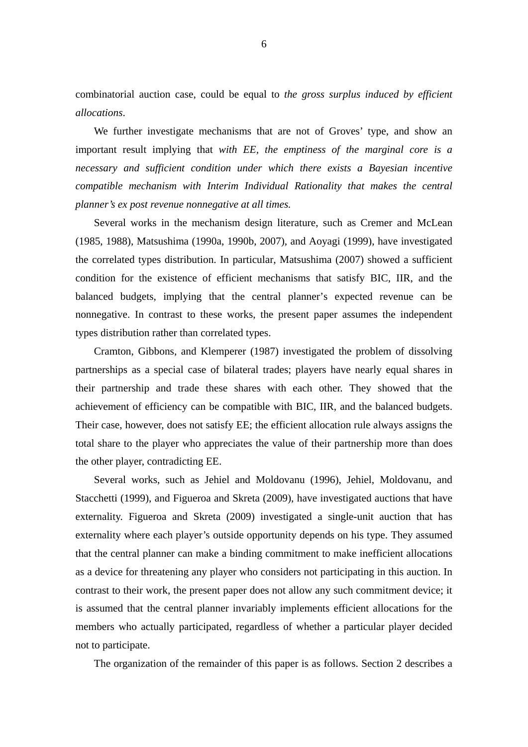combinatorial auction case, could be equal to *the gross surplus induced by efficient allocations*.

We further investigate mechanisms that are not of Groves' type, and show an important result implying that *with EE, the emptiness of the marginal core is a necessary and sufficient condition under which there exists a Bayesian incentive compatible mechanism with Interim Individual Rationality that makes the central planner's ex post revenue nonnegative at all times.*

Several works in the mechanism design literature, such as Cremer and McLean (1985, 1988), Matsushima (1990a, 1990b, 2007), and Aoyagi (1999), have investigated the correlated types distribution. In particular, Matsushima (2007) showed a sufficient condition for the existence of efficient mechanisms that satisfy BIC, IIR, and the balanced budgets, implying that the central planner's expected revenue can be nonnegative. In contrast to these works, the present paper assumes the independent types distribution rather than correlated types.

Cramton, Gibbons, and Klemperer (1987) investigated the problem of dissolving partnerships as a special case of bilateral trades; players have nearly equal shares in their partnership and trade these shares with each other. They showed that the achievement of efficiency can be compatible with BIC, IIR, and the balanced budgets. Their case, however, does not satisfy EE; the efficient allocation rule always assigns the total share to the player who appreciates the value of their partnership more than does the other player, contradicting EE.

Several works, such as Jehiel and Moldovanu (1996), Jehiel, Moldovanu, and Stacchetti (1999), and Figueroa and Skreta (2009), have investigated auctions that have externality. Figueroa and Skreta (2009) investigated a single-unit auction that has externality where each player's outside opportunity depends on his type. They assumed that the central planner can make a binding commitment to make inefficient allocations as a device for threatening any player who considers not participating in this auction. In contrast to their work, the present paper does not allow any such commitment device; it is assumed that the central planner invariably implements efficient allocations for the members who actually participated, regardless of whether a particular player decided not to participate.

The organization of the remainder of this paper is as follows. Section 2 describes a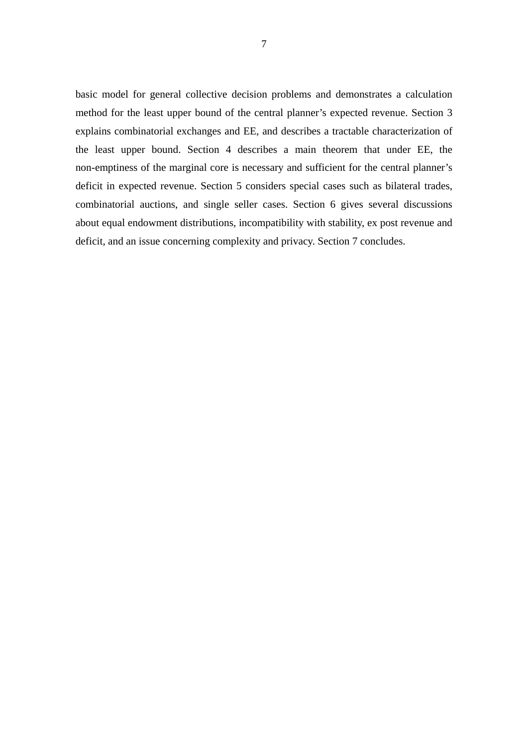basic model for general collective decision problems and demonstrates a calculation method for the least upper bound of the central planner's expected revenue. Section 3 explains combinatorial exchanges and EE, and describes a tractable characterization of the least upper bound. Section 4 describes a main theorem that under EE, the non-emptiness of the marginal core is necessary and sufficient for the central planner's deficit in expected revenue. Section 5 considers special cases such as bilateral trades, combinatorial auctions, and single seller cases. Section 6 gives several discussions about equal endowment distributions, incompatibility with stability, ex post revenue and deficit, and an issue concerning complexity and privacy. Section 7 concludes.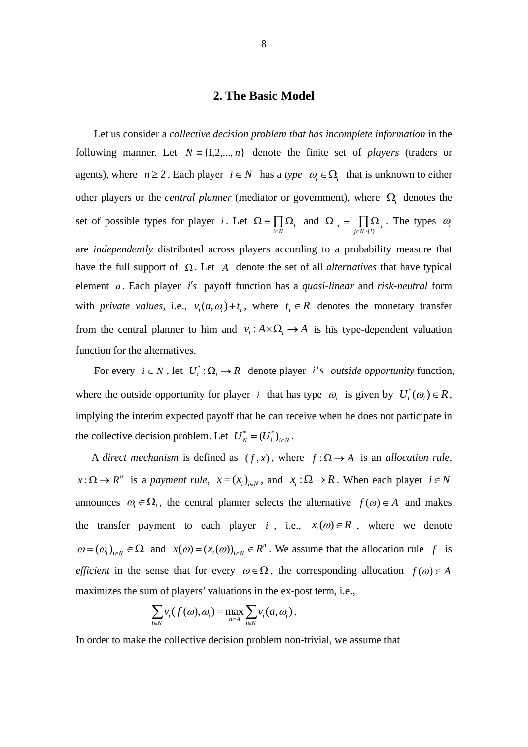### **2. The Basic Model**

Let us consider a *collective decision problem that has incomplete information* in the following manner. Let  $N = \{1, 2, ..., n\}$  denote the finite set of *players* (traders or agents), where  $n \ge 2$ . Each player  $i \in N$  has a *type*  $\omega_i \in \Omega_i$  that is unknown to either other players or the *central planner* (mediator or government), where  $\Omega$ , denotes the set of possible types for player *i*. Let  $\Omega = \prod_{i \in N} \Omega$  $\prod_{i \in N} \Omega_i$  and  $\Omega_{-i} \equiv \prod_{j \in N / \{i\}} \Omega_j$ . The types  $\omega_i$ are *independently* distributed across players according to a probability measure that have the full support of  $\Omega$ . Let A denote the set of all *alternatives* that have typical element *a* . Each player *is* payoff function has a *quasi-linear* and *risk-neutral* form with *private values*, i.e.,  $v_i(a, \omega_i) + t_i$ , where  $t_i \in R$  denotes the monetary transfer from the central planner to him and  $v_i : A \times \Omega_i \to A$  is his type-dependent valuation function for the alternatives.

For every  $i \in N$ , let  $U_i^* : \Omega_i \to R$  denote player *i's outside opportunity* function, where the outside opportunity for player *i* that has type  $\omega_i$  is given by  $U_i^*(\omega_i) \in R$ , implying the interim expected payoff that he can receive when he does not participate in the collective decision problem. Let  $U_N^* = (U_i^*)_{i \in N}$ .

A *direct mechanism* is defined as  $(f, x)$ , where  $f : \Omega \rightarrow A$  is an *allocation rule*,  $x: \Omega \to R^n$  is a *payment rule*,  $x = (x_i)_{i \in N}$ , and  $x_i: \Omega \to R$ . When each player  $i \in N$ announces  $\omega_i \in \Omega_i$ , the central planner selects the alternative  $f(\omega) \in A$  and makes the transfer payment to each player *i*, i.e.,  $x_i(\omega) \in R$ , where we denote  $\omega = (\omega_i)_{i \in N} \in \Omega$  and  $x(\omega) = (x_i(\omega))_{i \in N} \in R^n$ . We assume that the allocation rule f is *efficient* in the sense that for every  $\omega \in \Omega$ , the corresponding allocation  $f(\omega) \in A$ maximizes the sum of players' valuations in the ex-post term, i.e.,

$$
\sum_{i\in N}v_i(f(\omega),\omega_i)=\max_{a\in A}\sum_{i\in N}v_i(a,\omega_i).
$$

In order to make the collective decision problem non-trivial, we assume that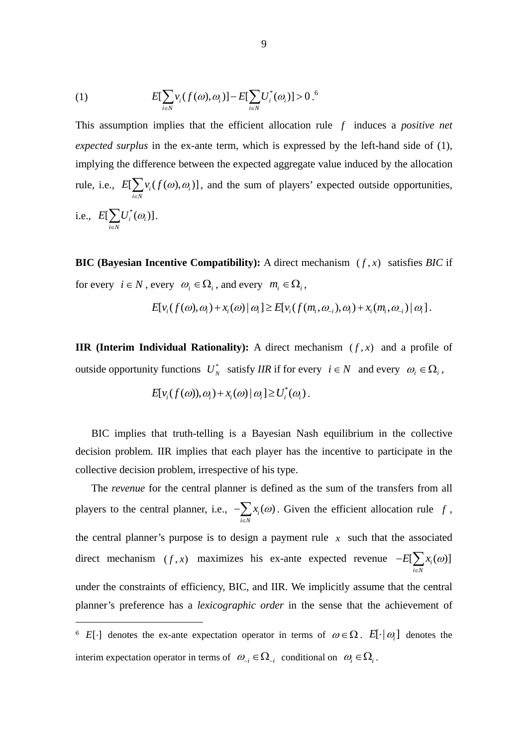(1) 
$$
E[\sum_{i \in N} v_i(f(\omega), \omega_i)] - E[\sum_{i \in N} U_i^*(\omega_i)] > 0.^6
$$

This assumption implies that the efficient allocation rule *f* induces a *positive net expected surplus* in the ex-ante term, which is expressed by the left-hand side of (1), implying the difference between the expected aggregate value induced by the allocation rule, i.e.,  $E[\sum_{i} v_i(f(\omega), \omega_i)]$  $i \in N$  $E[\sum_{i}v_i(f(\omega),\omega_i)]$  $\sum_{i \in N} v_i(f(\omega), \omega_i)$ , and the sum of players' expected outside opportunities, i.e.,  $E[\sum U_i^*(\omega_i)]$  $i \in N$  $E[\sum U_i^*(\omega_i$  $\sum_{i\in N} {U}^*_i(\omega_{_i})\big].$ 

**BIC (Bayesian Incentive Compatibility):** A direct mechanism  $(f, x)$  satisfies *BIC* if for every  $i \in N$ , every  $\omega_i \in \Omega_i$ , and every  $m_i \in \Omega_i$ ,

$$
E[v_i(f(\omega), \omega_i) + x_i(\omega) | \omega_i] \ge E[v_i(f(m_i, \omega_{-i}), \omega_i) + x_i(m_i, \omega_{-i}) | \omega_i].
$$

**IIR (Interim Individual Rationality):** A direct mechanism  $(f, x)$  and a profile of outside opportunity functions  $U_N^*$  satisfy *IIR* if for every  $i \in N$  and every  $\omega_i \in \Omega_i$ ,

$$
E[v_i(f(\omega)), \omega_i) + x_i(\omega) | \omega_i] \ge U_i^*(\omega_i).
$$

BIC implies that truth-telling is a Bayesian Nash equilibrium in the collective decision problem. IIR implies that each player has the incentive to participate in the collective decision problem, irrespective of his type.

The *revenue* for the central planner is defined as the sum of the transfers from all players to the central planner, i.e.,  $-\sum_{i} x_i(\omega)$  $i \in N$  $x_i(\omega)$  $-\sum_{i\in\mathbb{N}} x_i(\omega)$ . Given the efficient allocation rule f, the central planner's purpose is to design a payment rule  $x$  such that the associated direct mechanism  $(f, x)$  maximizes his ex-ante expected revenue  $-E[\sum_{i}(a)]$  $i \in N$  $E[\sum x_i(\omega)]$  $-E[\sum_{i\in N}$ under the constraints of efficiency, BIC, and IIR. We implicitly assume that the central planner's preference has a *lexicographic order* in the sense that the achievement of

-

<sup>&</sup>lt;sup>6</sup>  $E[\cdot]$  denotes the ex-ante expectation operator in terms of  $\omega \in \Omega$ .  $E[\cdot | \omega]$  denotes the interim expectation operator in terms of  $\omega_{-i} \in \Omega_{-i}$  conditional on  $\omega_i \in \Omega_i$ .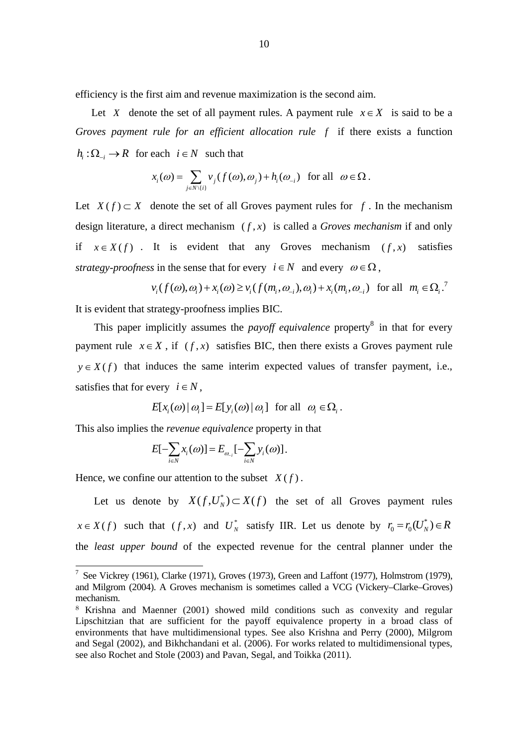efficiency is the first aim and revenue maximization is the second aim.

Let *X* denote the set of all payment rules. A payment rule  $x \in X$  is said to be a *Groves payment rule for an efficient allocation rule f* if there exists a function  $h_i: \Omega_i \to \mathbb{R}$  for each  $i \in \mathbb{N}$  such that

$$
x_i(\omega) = \sum_{j \in N \setminus \{i\}} v_j(f(\omega), \omega_j) + h_i(\omega_{-i}) \text{ for all } \omega \in \Omega.
$$

Let  $X(f) \subset X$  denote the set of all Groves payment rules for f. In the mechanism design literature, a direct mechanism  $(f, x)$  is called a *Groves mechanism* if and only if  $x \in X(f)$ . It is evident that any Groves mechanism  $(f, x)$  satisfies *strategy-proofness* in the sense that for every  $i \in N$  and every  $\omega \in \Omega$ .

$$
v_i(f(\omega), \omega_i) + x_i(\omega) \ge v_i(f(m_i, \omega_{-i}), \omega_i) + x_i(m_i, \omega_{-i}) \quad \text{for all} \quad m_i \in \Omega_i
$$

It is evident that strategy-proofness implies BIC.

This paper implicitly assumes the *payoff equivalence* property<sup>8</sup> in that for every payment rule  $x \in X$ , if  $(f, x)$  satisfies BIC, then there exists a Groves payment rule  $y \in X(f)$  that induces the same interim expected values of transfer payment, i.e., satisfies that for every  $i \in N$ ,

$$
E[x_i(\omega) | \omega_i] = E[y_i(\omega) | \omega_i] \text{ for all } \omega_i \in \Omega_i.
$$

This also implies the *revenue equivalence* property in that

$$
E[-\sum_{i\in N}x_i(\omega)]=E_{\omega_{-i}}[-\sum_{i\in N}y_i(\omega)].
$$

Hence, we confine our attention to the subset  $X(f)$ .

-

Let us denote by  $X(f, U_N^*) \subset X(f)$  the set of all Groves payment rules  $x \in X(f)$  such that  $(f, x)$  and  $U_N^*$  satisfy IIR. Let us denote by  $r_0 = r_0(U_N^*) \in R$ the *least upper bound* of the expected revenue for the central planner under the

<sup>&</sup>lt;sup>7</sup> See Vickrey (1961), Clarke (1971), Groves (1973), Green and Laffont (1977), Holmstrom (1979), and Milgrom (2004). A Groves mechanism is sometimes called a VCG (Vickery–Clarke–Groves) mechanism.

<sup>8</sup> Krishna and Maenner (2001) showed mild conditions such as convexity and regular Lipschitzian that are sufficient for the payoff equivalence property in a broad class of environments that have multidimensional types. See also Krishna and Perry (2000), Milgrom and Segal (2002), and Bikhchandani et al. (2006). For works related to multidimensional types, see also Rochet and Stole (2003) and Pavan, Segal, and Toikka (2011).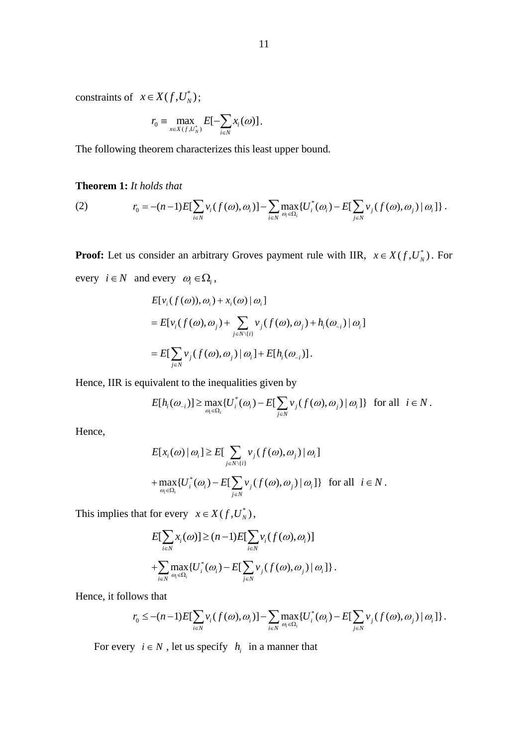constraints of  $x \in X(f, U_N^*)$ ;

$$
r_0 \equiv \max_{x \in X(f, U_N^*)} E[-\sum_{i \in N} x_i(\omega)].
$$

The following theorem characterizes this least upper bound.

#### **Theorem 1:** *It holds that*

(2) 
$$
r_0 = -(n-1)E[\sum_{i \in N} v_i(f(\omega), \omega_i)] - \sum_{i \in N} \max_{\omega_i \in \Omega_i} \{U_i^*(\omega_i) - E[\sum_{j \in N} v_j(f(\omega), \omega_j) | \omega_i]\}.
$$

**Proof:** Let us consider an arbitrary Groves payment rule with IIR,  $x \in X(f, U_N^*)$ . For every  $i \in N$  and every  $\omega_i \in \Omega_i$ ,

$$
E[v_i(f(\omega)), \omega_i) + x_i(\omega) | \omega_i]
$$
  
= 
$$
E[v_i(f(\omega), \omega_j) + \sum_{j \in N \setminus \{i\}} v_j(f(\omega), \omega_j) + h_i(\omega_{-i}) | \omega_i]
$$
  
= 
$$
E[\sum_{j \in N} v_j(f(\omega), \omega_j) | \omega_i] + E[h_i(\omega_{-i})].
$$

Hence, IIR is equivalent to the inequalities given by

$$
E[h_i(\omega_{-i})] \ge \max_{\omega_i \in \Omega_i} \{ U_i^*(\omega_i) - E[\sum_{j \in N} v_j(f(\omega), \omega_j) | \omega_i] \} \text{ for all } i \in N.
$$

Hence,

$$
E[x_i(\omega) | \omega_i] \ge E[\sum_{j \in N \setminus \{i\}} v_j(f(\omega), \omega_j) | \omega_i]
$$
  
+ 
$$
\max_{\omega_i \in \Omega_i} \{U_i^*(\omega_i) - E[\sum_{j \in N} v_j(f(\omega), \omega_j) | \omega_i]\} \text{ for all } i \in N.
$$

This implies that for every  $x \in X(f, U_N^*)$ ,

$$
E[\sum_{i\in N} x_i(\omega)] \ge (n-1)E[\sum_{i\in N} v_i(f(\omega), \omega_i)]
$$
  
+
$$
\sum_{i\in N} \max_{\omega_i \in \Omega_i} \{U_i^*(\omega_i) - E[\sum_{j\in N} v_j(f(\omega), \omega_j) | \omega_i] \}.
$$

Hence, it follows that

$$
r_0 \leq -(n-1)E[\sum_{i\in N}v_i(f(\omega),\omega_i)] - \sum_{i\in N}\max_{\omega_i\in\Omega_i}\{U_i^*(\omega_i) - E[\sum_{j\in N}v_j(f(\omega),\omega_j) | \omega_i]\}.
$$

For every  $i \in N$ , let us specify  $h_i$  in a manner that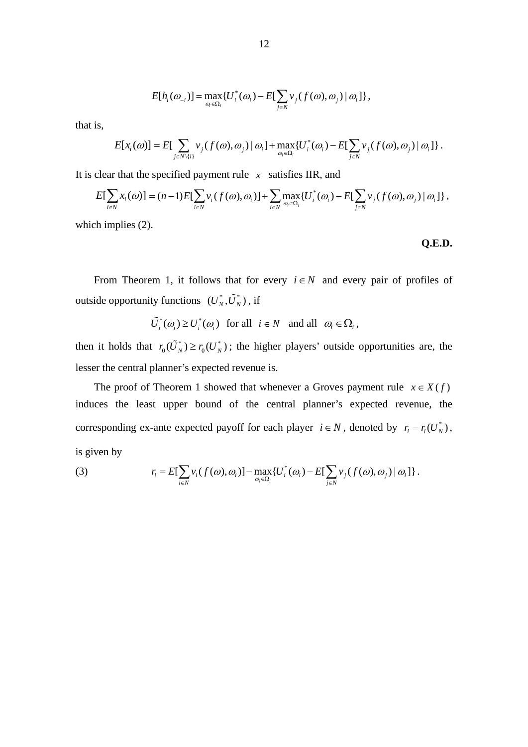$$
E[h_i(\omega_{-i})] = \max_{\omega_i \in \Omega_i} \{ U_i^*(\omega_i) - E[\sum_{j \in N} v_j(f(\omega), \omega_j) | \omega_i] \},
$$

that is,

$$
E[x_i(\omega)] = E\left[\sum_{j \in N \setminus \{i\}} v_j(f(\omega), \omega_j) | \omega_i\right] + \max_{\omega_i \in \Omega_i} \{U_i^*(\omega_i) - E\left[\sum_{j \in N} v_j(f(\omega), \omega_j) | \omega_i\right]\}.
$$

It is clear that the specified payment rule  $x$  satisfies IIR, and

$$
E[\sum_{i\in N}x_i(\omega)] = (n-1)E[\sum_{i\in N}v_i(f(\omega),\omega_i)] + \sum_{i\in N}\max_{\omega_i\in\Omega_i}\{U_i^*(\omega_i) - E[\sum_{j\in N}v_j(f(\omega),\omega_j)|\omega_i]\},
$$

which implies (2).

**Q.E.D.** 

From Theorem 1, it follows that for every  $i \in N$  and every pair of profiles of outside opportunity functions  $(U_N^*, \tilde{U}_N^*)$ , if

$$
\tilde{U}_i^*(\omega_i) \ge U_i^*(\omega_i) \quad \text{for all} \quad i \in N \quad \text{and all} \quad \omega_i \in \Omega_i \,,
$$

then it holds that  $r_0(\tilde{U}_N^*) \ge r_0(U_N^*)$ ; the higher players' outside opportunities are, the lesser the central planner's expected revenue is.

The proof of Theorem 1 showed that whenever a Groves payment rule  $x \in X(f)$ induces the least upper bound of the central planner's expected revenue, the corresponding ex-ante expected payoff for each player  $i \in N$ , denoted by  $r_i = r_i(U_N^*)$ , is given by

(3) 
$$
r_i = E[\sum_{i \in N} v_i(f(\omega), \omega_i)] - \max_{\omega_i \in \Omega_i} \{U_i^*(\omega_i) - E[\sum_{j \in N} v_j(f(\omega), \omega_j) | \omega_i]\}.
$$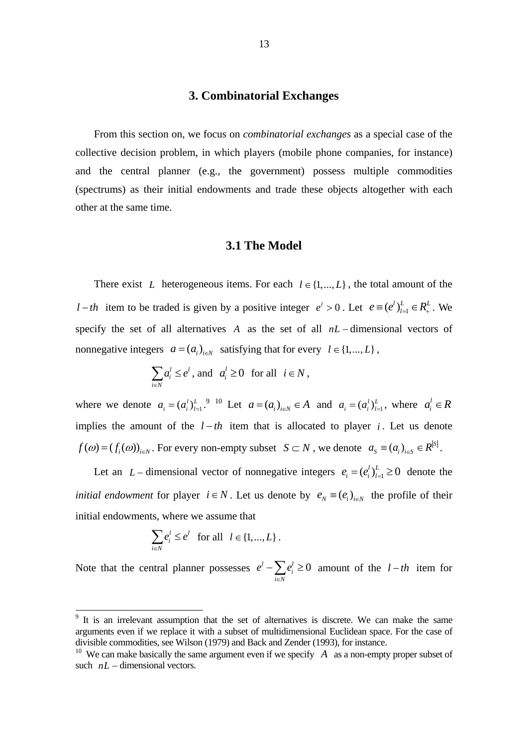#### **3. Combinatorial Exchanges**

 From this section on, we focus on *combinatorial exchanges* as a special case of the collective decision problem, in which players (mobile phone companies, for instance) and the central planner (e.g., the government) possess multiple commodities (spectrums) as their initial endowments and trade these objects altogether with each other at the same time.

#### **3.1 The Model**

There exist *L* heterogeneous items. For each  $l \in \{1, ..., L\}$ , the total amount of the *l* - *th* item to be traded is given by a positive integer  $e^l > 0$ . Let  $e \equiv (e^l)_{l=1}^L \in R_+^L$ . We specify the set of all alternatives  $A$  as the set of all  $nL$  – dimensional vectors of nonnegative integers  $a = (a_i)_{i \in N}$  satisfying that for every  $l \in \{1, ..., L\}$ ,

$$
\sum_{i \in N} a_i^l \le e^l \text{, and } a_i^l \ge 0 \text{ for all } i \in N,
$$

where we denote  $a_i = (a_i^l)_{l=1}^L$ .<sup>9</sup> <sup>10</sup> Let  $a = (a_i)_{i \in N} \in A$  and  $a_i = (a_i^l)_{l=1}^L$ , where  $a_i^l \in R$ implies the amount of the  $l-th$  item that is allocated to player *i*. Let us denote  $f(\omega) = (f_i(\omega))_{i \in N}$ . For every non-empty subset  $S \subset N$ , we denote  $a_S = (a_i)_{i \in S} \in R^{|S|}$ .

Let an *L* – dimensional vector of nonnegative integers  $e_i = (e_i^l)_{l=1}^L \ge 0$  denote the *initial endowment* for player  $i \in N$ . Let us denote by  $e_N \equiv (e_i)_{i \in N}$  the profile of their initial endowments, where we assume that

$$
\sum_{i\in N}e_i^l\leq e^l \quad \text{for all} \quad l\in\{1,\dots,L\}\,.
$$

-

Note that the central planner possesses  $e^{l} - \sum e^{l}_{i} \ge 0$ *i N*  $e^{l} - \sum e^{l}$  $-\sum_{i\in\mathbb{N}}e_i^l \ge 0$  amount of the  $l-th$  item for

<sup>&</sup>lt;sup>9</sup> It is an irrelevant assumption that the set of alternatives is discrete. We can make the same arguments even if we replace it with a subset of multidimensional Euclidean space. For the case of divisible commodities, see Wilson (1979) and Back and Zender (1993), for instance.

<sup>&</sup>lt;sup>10</sup> We can make basically the same argument even if we specify  $\overline{A}$  as a non-empty proper subset of such  $nL$  – dimensional vectors.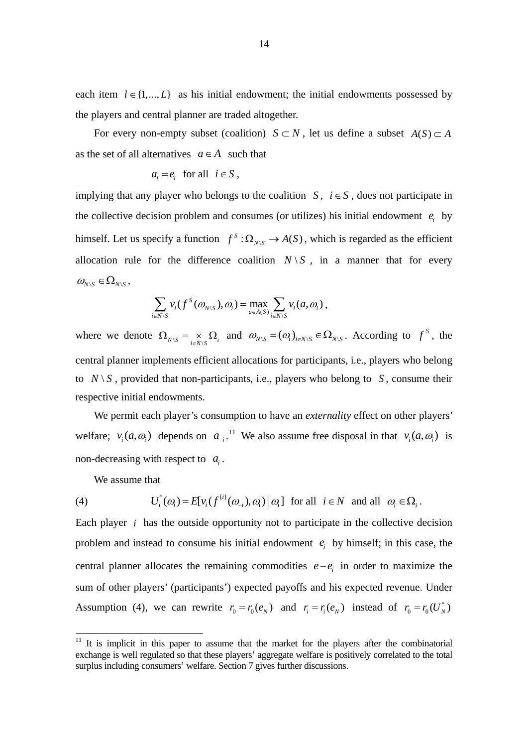each item  $l \in \{1, ..., L\}$  as his initial endowment; the initial endowments possessed by the players and central planner are traded altogether.

For every non-empty subset (coalition)  $S \subset N$ , let us define a subset  $A(S) \subset A$ as the set of all alternatives  $a \in A$  such that

$$
a_i = e_i \text{ for all } i \in S ,
$$

implying that any player who belongs to the coalition *S*,  $i \in S$ , does not participate in the collective decision problem and consumes (or utilizes) his initial endowment  $e_i$  by himself. Let us specify a function  $f^s : \Omega_{N \setminus S} \to A(S)$ , which is regarded as the efficient allocation rule for the difference coalition  $N \setminus S$ , in a manner that for every  $\omega_{N\setminus S} \in \Omega_{N\setminus S}$ 

$$
\sum_{i\in N\setminus S}\nu_i(f^S(\omega_{N\setminus S}),\omega_i)=\max_{a\in A(S)}\sum_{i\in N\setminus S}\nu_i(a,\omega_i)\,,
$$

where we denote  $\Omega_{N\setminus S} = \underset{i \in N\setminus S}{\times} \Omega_i$  and  $\omega_{N\setminus S} = (\omega_i)_{i \in N\setminus S} \in \Omega_{N\setminus S}$ . According to  $f^s$ , the central planner implements efficient allocations for participants, i.e., players who belong to  $N \setminus S$ , provided that non-participants, i.e., players who belong to *S*, consume their respective initial endowments.

 We permit each player's consumption to have an *externality* effect on other players' welfare;  $v_i(a, \omega_i)$  depends on  $a_{-i}$ .<sup>11</sup> We also assume free disposal in that  $v_i(a, \omega_i)$  is non-decreasing with respect to  $a_i$ .

We assume that

-

(4) 
$$
U_i^*(\omega_i) = E[v_i(f^{(i)}(\omega_{-i}), \omega_i) | \omega_i] \text{ for all } i \in N \text{ and all } \omega_i \in \Omega_i.
$$

Each player *i* has the outside opportunity not to participate in the collective decision problem and instead to consume his initial endowment  $e_i$  by himself; in this case, the central planner allocates the remaining commodities  $e - e_i$  in order to maximize the sum of other players' (participants') expected payoffs and his expected revenue. Under Assumption (4), we can rewrite  $r_0 = r_0(e_N)$  and  $r_i = r_i(e_N)$  instead of  $r_0 = r_0(U_N^*)$ 

 $11$  It is implicit in this paper to assume that the market for the players after the combinatorial exchange is well regulated so that these players' aggregate welfare is positively correlated to the total surplus including consumers' welfare. Section 7 gives further discussions.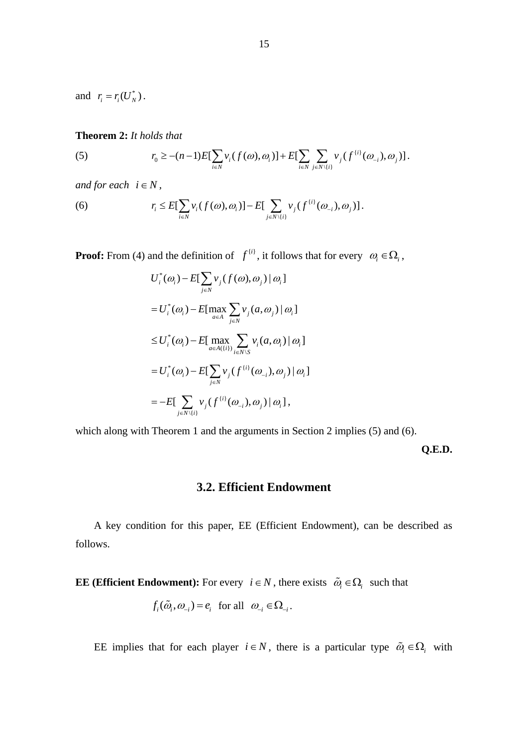and  $r_i = r_i(U_N^*)$ .

#### **Theorem 2:** *It holds that*

(5) 
$$
r_0 \geq -(n-1)E[\sum_{i \in N} v_i(f(\omega), \omega_i)] + E[\sum_{i \in N} \sum_{j \in N \setminus \{i\}} v_j(f^{(i)}(\omega_{-i}), \omega_j)].
$$

*and for each*  $i \in N$ ,

(6) 
$$
r_i \leq E[\sum_{i \in N} v_i(f(\omega), \omega_i)] - E[\sum_{j \in N \setminus \{i\}} v_j(f^{(i)}(\omega_{-i}), \omega_j)].
$$

**Proof:** From (4) and the definition of  $f^{(i)}$ , it follows that for every  $\omega_i \in \Omega_i$ ,

$$
U_i^*(\omega_i) - E[\sum_{j \in N} v_j(f(\omega), \omega_j) | \omega_i]
$$
  
\n
$$
= U_i^*(\omega_i) - E[\max_{a \in A} \sum_{j \in N} v_j(a, \omega_j) | \omega_i]
$$
  
\n
$$
\leq U_i^*(\omega_i) - E[\max_{a \in A(\{i\})} \sum_{i \in N \setminus S} v_i(a, \omega_i) | \omega_i]
$$
  
\n
$$
= U_i^*(\omega_i) - E[\sum_{j \in N} v_j(f^{(i)}(\omega_{-i}), \omega_j) | \omega_i]
$$
  
\n
$$
= -E[\sum_{j \in N \setminus \{i\}} v_j(f^{(i)}(\omega_{-i}), \omega_j) | \omega_i],
$$

which along with Theorem 1 and the arguments in Section 2 implies (5) and (6).

**Q.E.D.** 

## **3.2. Efficient Endowment**

 A key condition for this paper, EE (Efficient Endowment), can be described as follows.

**EE (Efficient Endowment):** For every  $i \in N$ , there exists  $\tilde{\omega}_i \in \Omega_i$  such that

$$
f_i(\tilde{\omega}_i, \omega_{-i}) = e_i
$$
 for all  $\omega_{-i} \in \Omega_{-i}$ .

EE implies that for each player  $i \in N$ , there is a particular type  $\tilde{\omega}_i \in \Omega_i$  with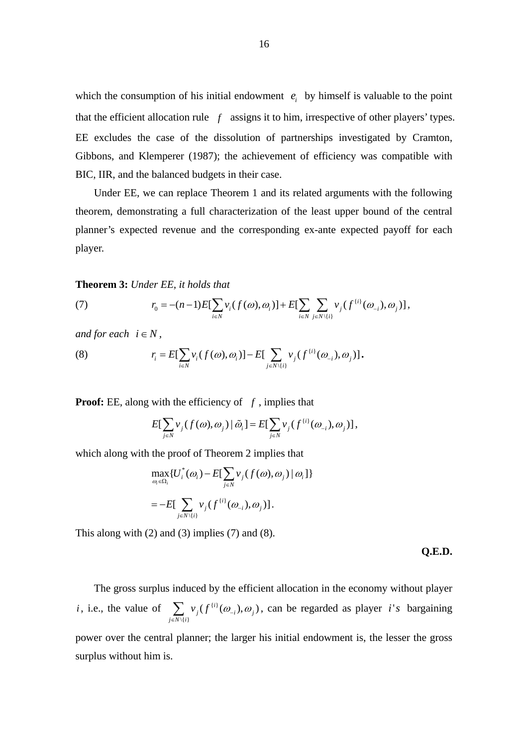which the consumption of his initial endowment  $e_i$  by himself is valuable to the point that the efficient allocation rule  $f$  assigns it to him, irrespective of other players' types. EE excludes the case of the dissolution of partnerships investigated by Cramton, Gibbons, and Klemperer (1987); the achievement of efficiency was compatible with BIC, IIR, and the balanced budgets in their case.

 Under EE, we can replace Theorem 1 and its related arguments with the following theorem, demonstrating a full characterization of the least upper bound of the central planner's expected revenue and the corresponding ex-ante expected payoff for each player.

#### **Theorem 3:** *Under EE, it holds that*

(7) 
$$
r_0 = -(n-1)E[\sum_{i \in N} v_i(f(\omega), \omega_i)] + E[\sum_{i \in N} \sum_{j \in N \setminus \{i\}} v_j(f^{(i)}(\omega_{-i}), \omega_j)],
$$

*and for each*  $i \in N$ ,

(8) 
$$
r_i = E[\sum_{i \in N} v_i(f(\omega), \omega_i)] - E[\sum_{j \in N \setminus \{i\}} v_j(f^{(i)}(\omega_{-i}), \omega_j)].
$$

**Proof:** EE, along with the efficiency of *f* , implies that

$$
E[\sum_{j\in N}v_j(f(\omega),\omega_j)|\tilde{\omega}_i] = E[\sum_{j\in N}v_j(f^{(i)}(\omega_{-i}),\omega_j)],
$$

which along with the proof of Theorem 2 implies that

$$
\max_{\omega_i \in \Omega_i} \{ U_i^*(\omega_i) - E[\sum_{j \in N} v_j(f(\omega), \omega_j) | \omega_i] \}
$$
  
= 
$$
-E[\sum_{j \in N \setminus \{i\}} v_j(f^{(i)}(\omega_{-i}), \omega_j)].
$$

This along with (2) and (3) implies (7) and (8).

#### **Q.E.D.**

 The gross surplus induced by the efficient allocation in the economy without player *i*, i.e., the value of  $\sum_i v_i (f^{(i)})$  $\setminus \{ i \}$  $\hat{f}_j(f^{\{i\}}(\omega_{-i}), \omega_{j})$  $j \in N \setminus \{i$  $v_j(f^{\{i\}}(\omega_{-i}),\omega)$  $\sum_{j \in N\setminus\{i\}} v_j(f^{(i)}(\omega_{-i}), \omega_j)$ , can be regarded as player *i's* bargaining power over the central planner; the larger his initial endowment is, the lesser the gross

surplus without him is.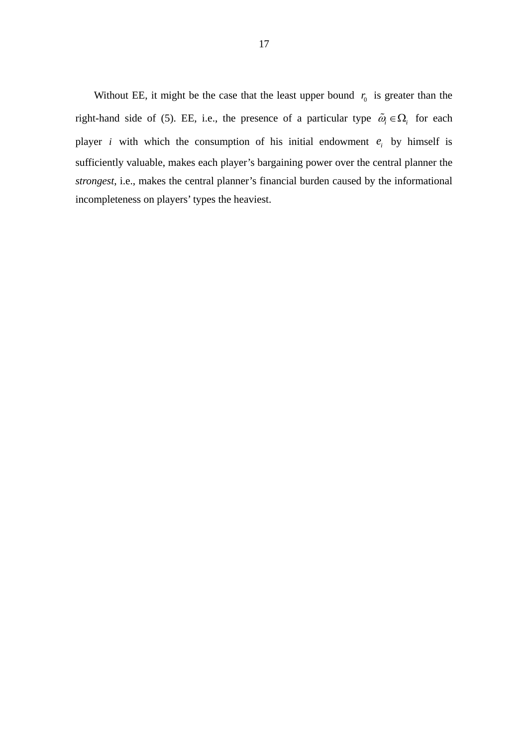Without EE, it might be the case that the least upper bound  $r_0$  is greater than the right-hand side of (5). EE, i.e., the presence of a particular type  $\tilde{\omega}_i \in \Omega_i$  for each player *i* with which the consumption of his initial endowment  $e_i$  by himself is sufficiently valuable, makes each player's bargaining power over the central planner the *strongest*, i.e., makes the central planner's financial burden caused by the informational incompleteness on players' types the heaviest.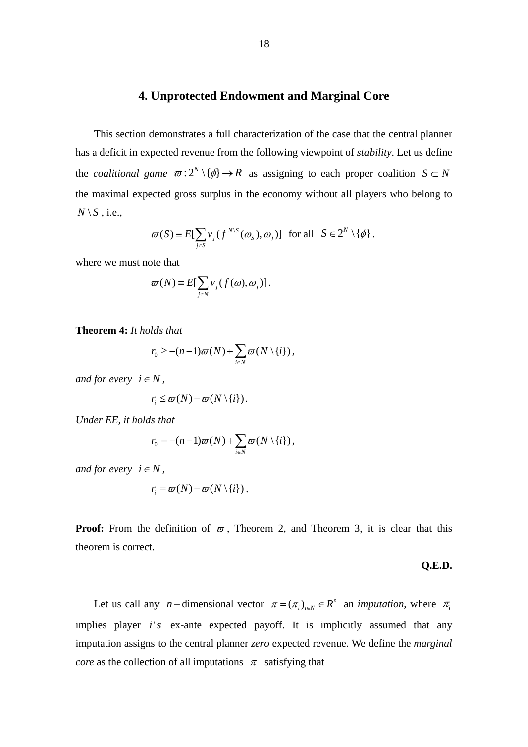## **4. Unprotected Endowment and Marginal Core**

 This section demonstrates a full characterization of the case that the central planner has a deficit in expected revenue from the following viewpoint of *stability*. Let us define the *coalitional game*  $\varpi$ :  $2^N \setminus \{\phi\} \rightarrow R$  as assigning to each proper coalition  $S \subset N$ the maximal expected gross surplus in the economy without all players who belong to  $N \setminus S$ , i.e.,

$$
\varpi(S) = E[\sum_{j \in S} \nu_j(f^{N \setminus S}(\omega_S), \omega_j)] \text{ for all } S \in 2^N \setminus \{\phi\}.
$$

where we must note that

$$
\varpi(N) \equiv E[\sum_{j \in N} v_j(f(\omega), \omega_j)].
$$

**Theorem 4:** *It holds that* 

$$
r_0 \geq -(n-1)\varpi(N) + \sum_{i \in N} \varpi(N \setminus \{i\}),
$$

*and for every*  $i \in N$ ,

$$
r_i \leq \overline{\omega}(N) - \overline{\omega}(N \setminus \{i\}).
$$

*Under EE, it holds that* 

$$
r_0 = -(n-1)\varpi(N) + \sum_{i \in N} \varpi(N \setminus \{i\}),
$$

*and for every*  $i \in N$ ,

$$
r_i = \varpi(N) - \varpi(N \setminus \{i\}).
$$

**Proof:** From the definition of  $\varpi$ , Theorem 2, and Theorem 3, it is clear that this theorem is correct.

#### **Q.E.D.**

Let us call any *n*-dimensional vector  $\pi = (\pi_i)_{i \in N} \in R^n$  an *imputation*, where  $\pi_i$ implies player *i's* ex-ante expected payoff. It is implicitly assumed that any imputation assigns to the central planner *zero* expected revenue. We define the *marginal core* as the collection of all imputations  $\pi$  satisfying that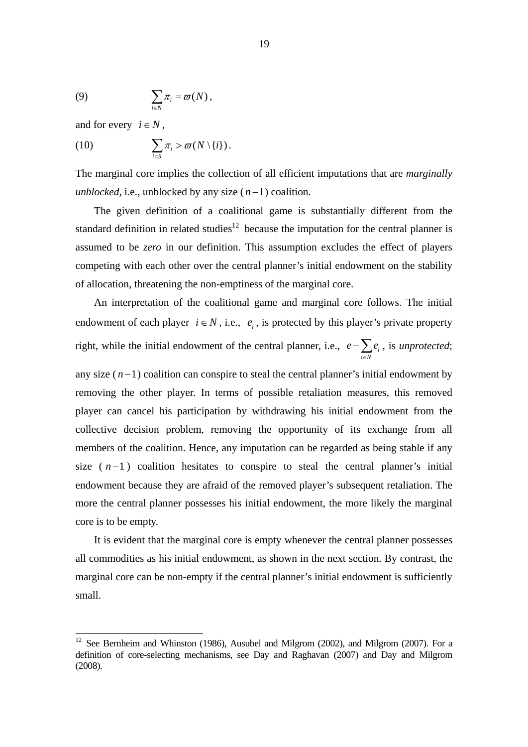(9) 
$$
\sum_{i\in N}\pi_i=\varpi(N)\,,
$$

and for every  $i \in N$ ,

-

(10) 
$$
\sum_{i\in S}\pi_i > \varpi(N\setminus\{i\}).
$$

The marginal core implies the collection of all efficient imputations that are *marginally unblocked*, i.e., unblocked by any size  $(n-1)$  coalition.

The given definition of a coalitional game is substantially different from the standard definition in related studies<sup>12</sup> because the imputation for the central planner is assumed to be *zero* in our definition. This assumption excludes the effect of players competing with each other over the central planner's initial endowment on the stability of allocation, threatening the non-emptiness of the marginal core.

An interpretation of the coalitional game and marginal core follows. The initial endowment of each player  $i \in N$ , i.e.,  $e_i$ , is protected by this player's private property right, while the initial endowment of the central planner, i.e.,  $e - \sum e_i$  $i \in N$  $e - \sum e$  $-\sum_{i\in N}e_i$ , is *unprotected*;

any size  $(n-1)$  coalition can conspire to steal the central planner's initial endowment by removing the other player. In terms of possible retaliation measures, this removed player can cancel his participation by withdrawing his initial endowment from the collective decision problem, removing the opportunity of its exchange from all members of the coalition. Hence, any imputation can be regarded as being stable if any size  $(n-1)$  coalition hesitates to conspire to steal the central planner's initial endowment because they are afraid of the removed player's subsequent retaliation. The more the central planner possesses his initial endowment, the more likely the marginal core is to be empty.

It is evident that the marginal core is empty whenever the central planner possesses all commodities as his initial endowment, as shown in the next section. By contrast, the marginal core can be non-empty if the central planner's initial endowment is sufficiently small.

 $12$  See Bernheim and Whinston (1986), Ausubel and Milgrom (2002), and Milgrom (2007). For a definition of core-selecting mechanisms, see Day and Raghavan (2007) and Day and Milgrom (2008).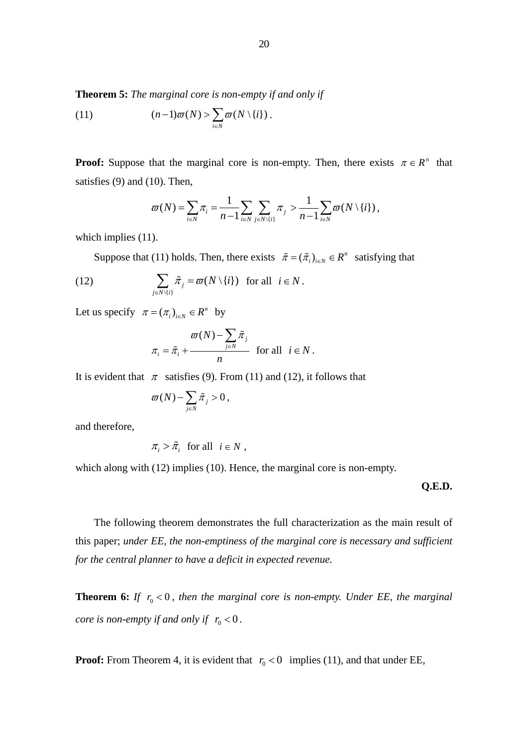**Theorem 5:** *The marginal core is non-empty if and only if* 

(11) 
$$
(n-1)\varpi(N) > \sum_{i \in N} \varpi(N \setminus \{i\}).
$$

**Proof:** Suppose that the marginal core is non-empty. Then, there exists  $\pi \in R^n$  that satisfies (9) and (10). Then,

$$
\varpi(N) = \sum_{i \in N} \pi_i = \frac{1}{n-1} \sum_{i \in N} \sum_{j \in N \setminus \{i\}} \pi_j > \frac{1}{n-1} \sum_{i \in N} \varpi(N \setminus \{i\}),
$$

which implies  $(11)$ .

Suppose that (11) holds. Then, there exists  $\tilde{\pi} = (\tilde{\pi}_i)_{i \in N} \in R^n$  satisfying that

(12) 
$$
\sum_{j \in N \setminus \{i\}} \tilde{\pi}_j = \varpi(N \setminus \{i\}) \text{ for all } i \in N.
$$

Let us specify  $\pi = (\pi_i)_{i \in N} \in R^n$  by

$$
\pi_i = \tilde{\pi}_i + \frac{\varpi(N) - \sum_{j \in N} \tilde{\pi}_j}{n} \quad \text{for all} \quad i \in N.
$$

It is evident that  $\pi$  satisfies (9). From (11) and (12), it follows that

$$
\varpi(N) \!-\! \sum_{j\in N} {\tilde \pi}_j > 0\,,
$$

and therefore,

$$
\pi_i > \tilde{\pi}_i \text{ for all } i \in N ,
$$

which along with (12) implies (10). Hence, the marginal core is non-empty.

**Q.E.D.** 

The following theorem demonstrates the full characterization as the main result of this paper; *under EE, the non-emptiness of the marginal core is necessary and sufficient for the central planner to have a deficit in expected revenue.*

**Theorem 6:** *If*  $r_0 < 0$ , then the marginal core is non-empty. Under EE, the marginal *core is non-empty if and only if*  $r_0 < 0$ *.* 

**Proof:** From Theorem 4, it is evident that  $r_0 < 0$  implies (11), and that under EE,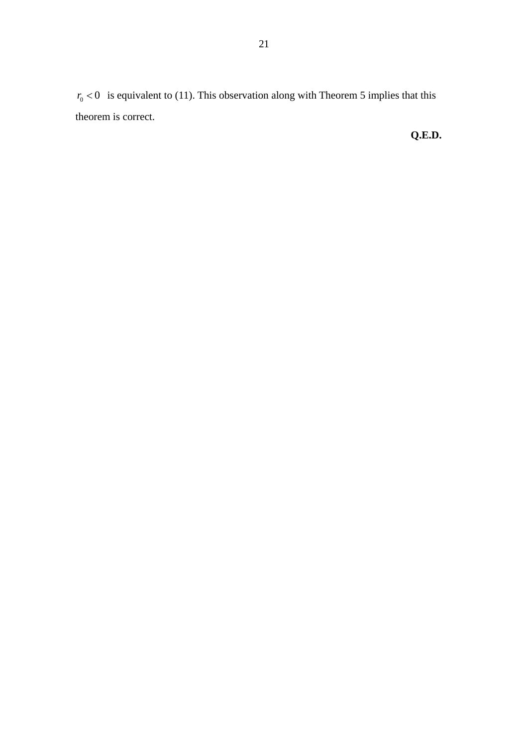$r_0 < 0$  is equivalent to (11). This observation along with Theorem 5 implies that this theorem is correct.

# **Q.E.D.**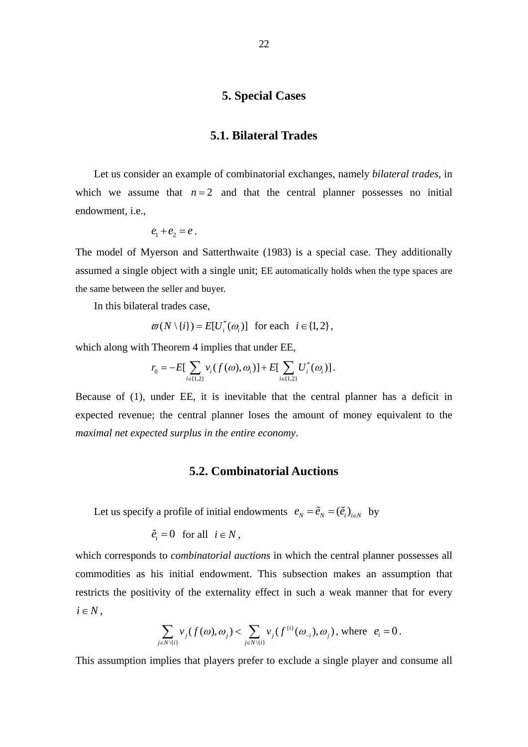## **5. Special Cases**

### **5.1. Bilateral Trades**

Let us consider an example of combinatorial exchanges, namely *bilateral trades*, in which we assume that  $n = 2$  and that the central planner possesses no initial endowment, i.e.,

$$
e_1+e_2=e.
$$

The model of Myerson and Satterthwaite (1983) is a special case. They additionally assumed a single object with a single unit; EE automatically holds when the type spaces are the same between the seller and buyer.

In this bilateral trades case,

$$
\varpi(N \setminus \{i\}) = E[U_i^*(\omega_i)] \text{ for each } i \in \{1, 2\},\
$$

which along with Theorem 4 implies that under EE,

$$
r_0 = -E[\sum_{i \in \{1,2\}} v_i(f(\omega), \omega_i)] + E[\sum_{i \in \{1,2\}} U_i^*(\omega_i)].
$$

Because of (1), under EE, it is inevitable that the central planner has a deficit in expected revenue; the central planner loses the amount of money equivalent to the *maximal net expected surplus in the entire economy*.

#### **5.2. Combinatorial Auctions**

Let us specify a profile of initial endowments  $e_N = \tilde{e}_N = (\tilde{e}_i)_{i \in N}$  by

$$
\tilde{e}_i = 0 \quad \text{for all} \quad i \in N \,,
$$

which corresponds to *combinatorial auctions* in which the central planner possesses all commodities as his initial endowment. This subsection makes an assumption that restricts the positivity of the externality effect in such a weak manner that for every  $i \in N$ ,

$$
\sum_{j\in N\setminus\{i\}}\nu_j(f(\omega),\omega_j)<\sum_{j\in N\setminus\{i\}}\nu_j(f^{\{i\}}(\omega_{-i}),\omega_j),\text{ where }\ e_i=0.
$$

This assumption implies that players prefer to exclude a single player and consume all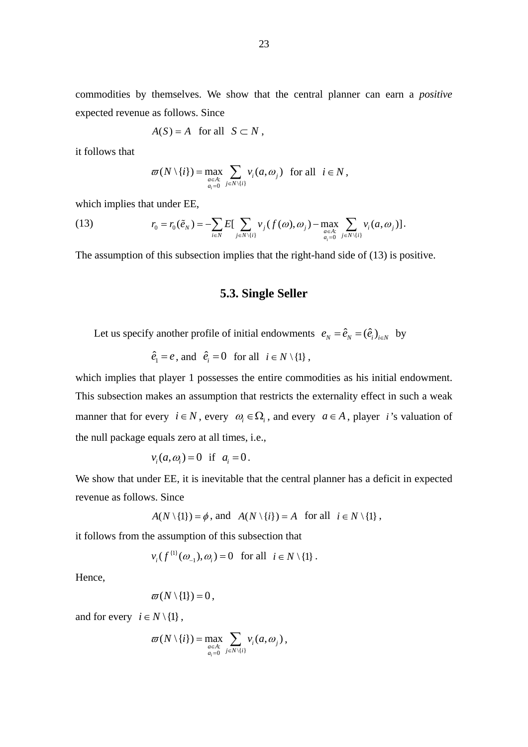commodities by themselves. We show that the central planner can earn a *positive* expected revenue as follows. Since

$$
A(S) = A \quad \text{for all} \quad S \subset N \ ,
$$

it follows that

$$
\varpi(N \setminus \{i\}) = \max_{\underset{a_i=0}{a \in A:}} \sum_{j \in N \setminus \{i\}} \nu_i(a, \omega_j) \text{ for all } i \in N,
$$

which implies that under EE,

(13) 
$$
r_0 = r_0(\tilde{e}_N) = -\sum_{i \in N} E\left[\sum_{j \in N \setminus \{i\}} v_j(f(\omega), \omega_j) - \max_{\substack{a \in A:\\a_i = 0}} \sum_{j \in N \setminus \{i\}} v_i(a, \omega_j)\right].
$$

The assumption of this subsection implies that the right-hand side of (13) is positive.

## **5.3. Single Seller**

Let us specify another profile of initial endowments  $e_N = \hat{e}_N - (\hat{e}_i)_{i \in N}$  by

 $\hat{e}_i = e$ , and  $\hat{e}_i = 0$  for all  $i \in N \setminus \{1\}$ ,

which implies that player 1 possesses the entire commodities as his initial endowment. This subsection makes an assumption that restricts the externality effect in such a weak manner that for every  $i \in N$ , every  $\omega_i \in \Omega_i$ , and every  $a \in A$ , player *i*'s valuation of the null package equals zero at all times, i.e.,

$$
v_i(a, \omega_i) = 0 \quad \text{if} \quad a_i = 0.
$$

We show that under EE, it is inevitable that the central planner has a deficit in expected revenue as follows. Since

$$
A(N \setminus \{1\}) = \phi
$$
, and  $A(N \setminus \{i\}) = A$  for all  $i \in N \setminus \{1\}$ ,

it follows from the assumption of this subsection that

 $v_i(f^{(1)}(\omega_{-1}), \omega_i) = 0$  for all  $i \in N \setminus \{1\}$ .

Hence,

$$
\varpi(N\setminus\{1\})=0\,,
$$

and for every  $i \in N \setminus \{1\}$ ,

$$
\varpi(N \setminus \{i\}) = \max_{\underset{a_i=0}{a \in A:}} \sum_{j \in N \setminus \{i\}} v_i(a, \omega_j),
$$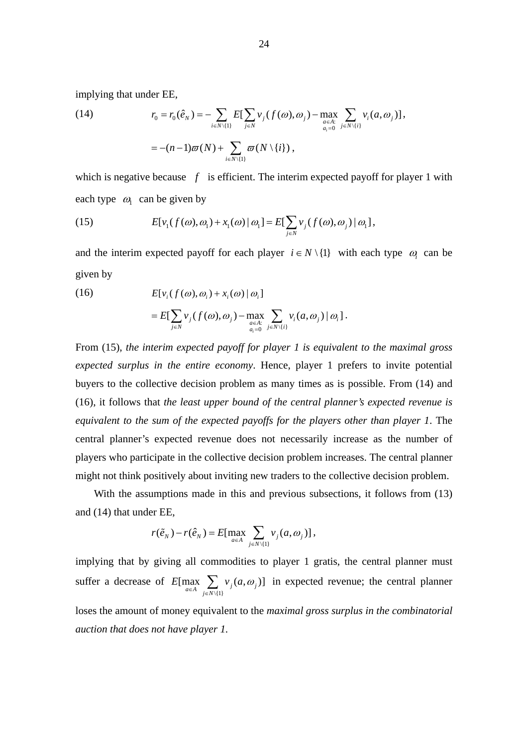implying that under EE,

(14) 
$$
r_0 = r_0(\hat{e}_N) = -\sum_{i \in N \setminus \{1\}} E[\sum_{j \in N} v_j(f(\omega), \omega_j) - \max_{\substack{a \in A:\\ a_i = 0}} \sum_{j \in N \setminus \{i\}} v_i(a, \omega_j)],
$$

$$
= -(n-1)\varpi(N) + \sum_{i \in N \setminus \{1\}} \varpi(N \setminus \{i\}),
$$

which is negative because  $f$  is efficient. The interim expected payoff for player 1 with each type  $\omega$  can be given by

(15) 
$$
E[v_1(f(\omega), \omega_1) + x_1(\omega) | \omega_1] = E[\sum_{j \in N} v_j(f(\omega), \omega_j) | \omega_1],
$$

and the interim expected payoff for each player  $i \in N \setminus \{1\}$  with each type  $\omega$  can be given by

(16) 
$$
E[v_i(f(\omega), \omega_i) + x_i(\omega) | \omega_i]
$$

$$
= E[\sum_{j \in N} v_j(f(\omega), \omega_j) - \max_{\substack{a \in A:\\a_{i,j} = 0}} \sum_{j \in N \setminus \{i\}} v_i(a, \omega_j) | \omega_i].
$$

From (15), *the interim expected payoff for player 1 is equivalent to the maximal gross expected surplus in the entire economy*. Hence, player 1 prefers to invite potential buyers to the collective decision problem as many times as is possible. From (14) and (16), it follows that *the least upper bound of the central planner's expected revenue is equivalent to the sum of the expected payoffs for the players other than player 1*. The central planner's expected revenue does not necessarily increase as the number of players who participate in the collective decision problem increases. The central planner might not think positively about inviting new traders to the collective decision problem.

 With the assumptions made in this and previous subsections, it follows from (13) and (14) that under EE,

$$
r(\tilde{e}_N) - r(\hat{e}_N) = E[\max_{a \in A} \sum_{j \in N \setminus \{1\}} v_j(a, \omega_j)],
$$

implying that by giving all commodities to player 1 gratis, the central planner must suffer a decrease of  $E[\max_{a \in A} \sum_{j \in N \setminus \{1\}} v_j(a, \omega_j)]$  in expected revenue; the central planner loses the amount of money equivalent to the *maximal gross surplus in the combinatorial auction that does not have player 1.*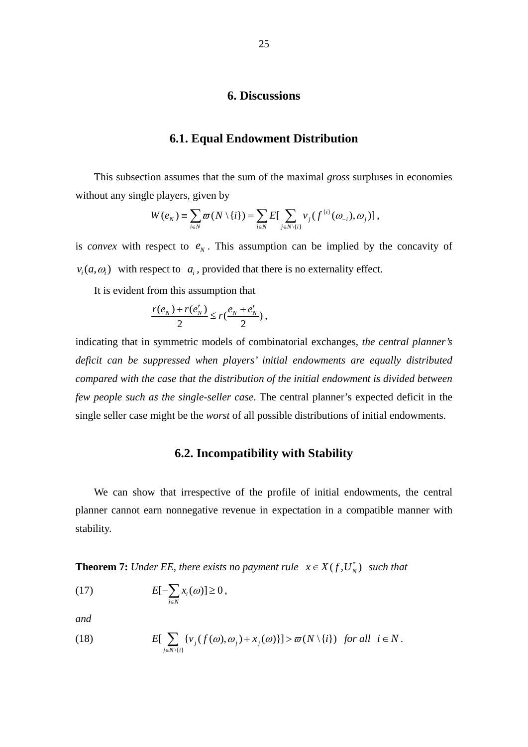#### **6. Discussions**

#### **6.1. Equal Endowment Distribution**

 This subsection assumes that the sum of the maximal *gross* surpluses in economies without any single players, given by

$$
W(e_N) \equiv \sum_{i \in N} \varpi(N \setminus \{i\}) = \sum_{i \in N} E[\sum_{j \in N \setminus \{i\}} v_j(f^{\{i\}}(\omega_{-i}), \omega_j)],
$$

is *convex* with respect to  $e<sub>N</sub>$ . This assumption can be implied by the concavity of  $v_i(a, \omega)$  with respect to  $a_i$ , provided that there is no externality effect.

It is evident from this assumption that

$$
\frac{r(e_N)+r(e'_N)}{2}\leq r(\frac{e_N+e'_N}{2})\,,
$$

indicating that in symmetric models of combinatorial exchanges, *the central planner's deficit can be suppressed when players' initial endowments are equally distributed compared with the case that the distribution of the initial endowment is divided between few people such as the single-seller case*. The central planner's expected deficit in the single seller case might be the *worst* of all possible distributions of initial endowments.

## **6.2. Incompatibility with Stability**

 We can show that irrespective of the profile of initial endowments, the central planner cannot earn nonnegative revenue in expectation in a compatible manner with stability.

**Theorem 7:** *Under EE, there exists no payment rule*  $x \in X(f, U_N^*)$  *such that* 

$$
(17) \t E[-\sum_{i\in N}x_i(\omega)]\geq 0,
$$

*and* 

(18) 
$$
E[\sum_{j \in N \setminus \{i\}} \{v_j(f(\omega), \omega_j) + x_j(\omega)\}] > \varpi(N \setminus \{i\}) \text{ for all } i \in N.
$$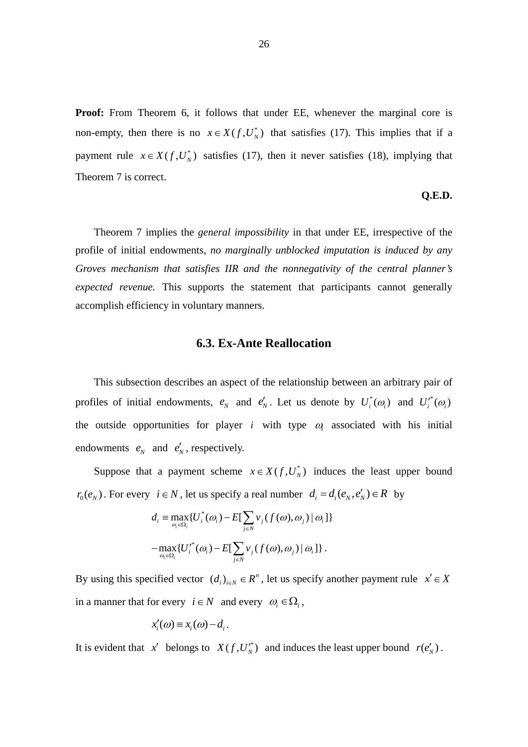**Proof:** From Theorem 6, it follows that under EE, whenever the marginal core is non-empty, then there is no  $x \in X(f, U_N^*)$  that satisfies (17). This implies that if a payment rule  $x \in X(f, U_N^*)$  satisfies (17), then it never satisfies (18), implying that Theorem 7 is correct.

#### **Q.E.D.**

 Theorem 7 implies the *general impossibility* in that under EE, irrespective of the profile of initial endowments, *no marginally unblocked imputation is induced by any Groves mechanism that satisfies IIR and the nonnegativity of the central planner's expected revenue.* This supports the statement that participants cannot generally accomplish efficiency in voluntary manners.

#### **6.3. Ex-Ante Reallocation**

 This subsection describes an aspect of the relationship between an arbitrary pair of profiles of initial endowments,  $e_N$  and  $e'_N$ . Let us denote by  $U_i^*(\omega_i)$  and  $U_i'^*(\omega_i)$ the outside opportunities for player *i* with type  $\omega$  associated with his initial endowments  $e_N$  and  $e'_N$ , respectively.

Suppose that a payment scheme  $x \in X(f, U_N^*)$  induces the least upper bound  $r_0(e_N)$ . For every  $i \in N$ , let us specify a real number  $d_i = d_i(e_N, e'_N) \in R$  by

$$
d_i = \max_{\omega_i \in \Omega_i} \{ U_i^*(\omega_i) - E[\sum_{j \in N} v_j(f(\omega), \omega_j) | \omega_i] \}
$$

$$
- \max_{\omega_i \in \Omega_i} \{ U_i^*(\omega_i) - E[\sum_{j \in N} v_j(f(\omega), \omega_j) | \omega_i] \}.
$$

By using this specified vector  $(d_i)_{i \in N} \in R^n$ , let us specify another payment rule  $x' \in X$ in a manner that for every  $i \in N$  and every  $\omega_i \in \Omega_i$ ,

$$
x'_{i}(\omega) \equiv x_{i}(\omega) - d_{i}.
$$

It is evident that *x'* belongs to  $X(f, U_N^*)$  and induces the least upper bound  $r(e'_N)$ .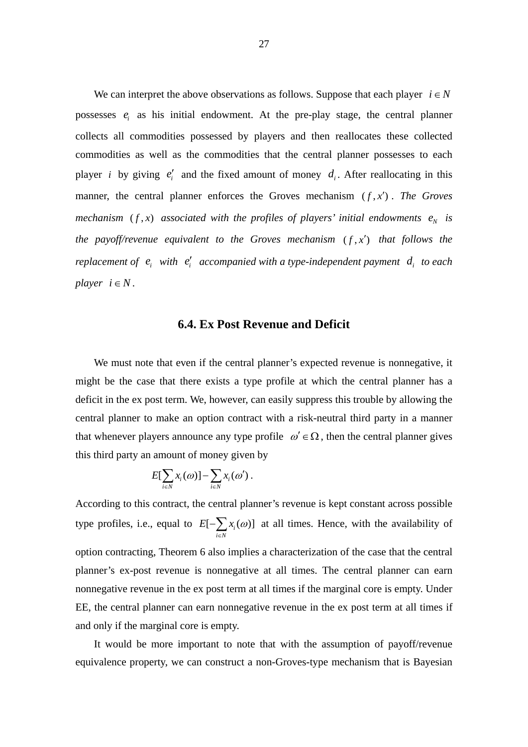We can interpret the above observations as follows. Suppose that each player  $i \in N$ possesses  $e_i$  as his initial endowment. At the pre-play stage, the central planner collects all commodities possessed by players and then reallocates these collected commodities as well as the commodities that the central planner possesses to each player *i* by giving  $e'_i$  and the fixed amount of money  $d_i$ . After reallocating in this manner, the central planner enforces the Groves mechanism  $(f, x')$ . The Groves *mechanism*  $(f, x)$  *associated with the profiles of players' initial endowments*  $e_N$  *is the payoff/revenue equivalent to the Groves mechanism*  $(f, x')$  *that follows the replacement of*  $e_i$  *with*  $e'_i$  *accompanied with a type-independent payment*  $d_i$  *to each player*  $i \in N$ .

#### **6.4. Ex Post Revenue and Deficit**

We must note that even if the central planner's expected revenue is nonnegative, it might be the case that there exists a type profile at which the central planner has a deficit in the ex post term. We, however, can easily suppress this trouble by allowing the central planner to make an option contract with a risk-neutral third party in a manner that whenever players announce any type profile  $\omega' \in \Omega$ , then the central planner gives this third party an amount of money given by

$$
E[\sum_{i\in N}x_i(\omega)]-\sum_{i\in N}x_i(\omega').
$$

According to this contract, the central planner's revenue is kept constant across possible type profiles, i.e., equal to  $E[-\sum x_i(\omega)]$  $i \in N$  $E[-\sum x_i(\omega$  $-\sum_{i\in\mathbb{N}} x_i(\omega)$  at all times. Hence, with the availability of option contracting, Theorem 6 also implies a characterization of the case that the central planner's ex-post revenue is nonnegative at all times. The central planner can earn nonnegative revenue in the ex post term at all times if the marginal core is empty. Under EE, the central planner can earn nonnegative revenue in the ex post term at all times if and only if the marginal core is empty.

 It would be more important to note that with the assumption of payoff/revenue equivalence property, we can construct a non-Groves-type mechanism that is Bayesian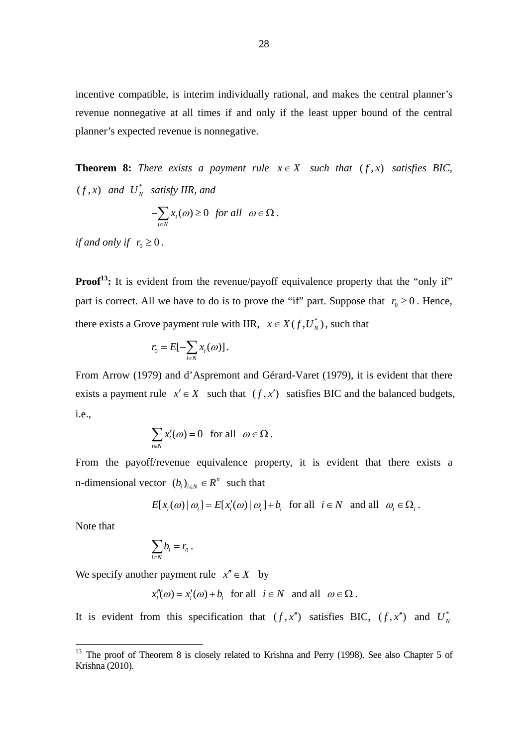incentive compatible, is interim individually rational, and makes the central planner's revenue nonnegative at all times if and only if the least upper bound of the central planner's expected revenue is nonnegative.

**Theorem 8:** *There exists a payment rule*  $x \in X$  *such that*  $(f, x)$  *satisfies BIC,*  $(f, x)$  and  $U_N^*$  satisfy IIR, and

$$
-\sum_{i\in N}x_i(\omega)\geq 0 \text{ for all } \omega\in\Omega.
$$

*if and only if*  $r_0 \geq 0$ .

**Proof<sup>13</sup>:** It is evident from the revenue/payoff equivalence property that the "only if" part is correct. All we have to do is to prove the "if" part. Suppose that  $r_0 \ge 0$ . Hence, there exists a Grove payment rule with IIR,  $x \in X(f, U_N^*)$ , such that

$$
r_0 = E[-\sum_{i \in N} x_i(\omega)].
$$

From Arrow (1979) and d'Aspremont and Gérard-Varet (1979), it is evident that there exists a payment rule  $x' \in X$  such that  $(f, x')$  satisfies BIC and the balanced budgets, i.e.,

$$
\sum_{i\in N} x'_i(\omega) = 0 \text{ for all } \omega \in \Omega.
$$

From the payoff/revenue equivalence property, it is evident that there exists a n-dimensional vector  $(b_i)_{i \in N} \in R^n$  such that

$$
E[x_i(\omega) | \omega_i] = E[x'_i(\omega) | \omega_i] + b_i \text{ for all } i \in N \text{ and all } \omega_i \in \Omega_i.
$$

Note that

-

$$
\sum_{i\in N} b_i=r_0\ .
$$

We specify another payment rule  $x'' \in X$  by

 $x''_i(\omega) = x'_i(\omega) + b$  for all  $i \in N$  and all  $\omega \in \Omega$ .

It is evident from this specification that  $(f, x'')$  satisfies BIC,  $(f, x'')$  and  $U_N^*$ 

<sup>&</sup>lt;sup>13</sup> The proof of Theorem 8 is closely related to Krishna and Perry (1998). See also Chapter 5 of Krishna (2010).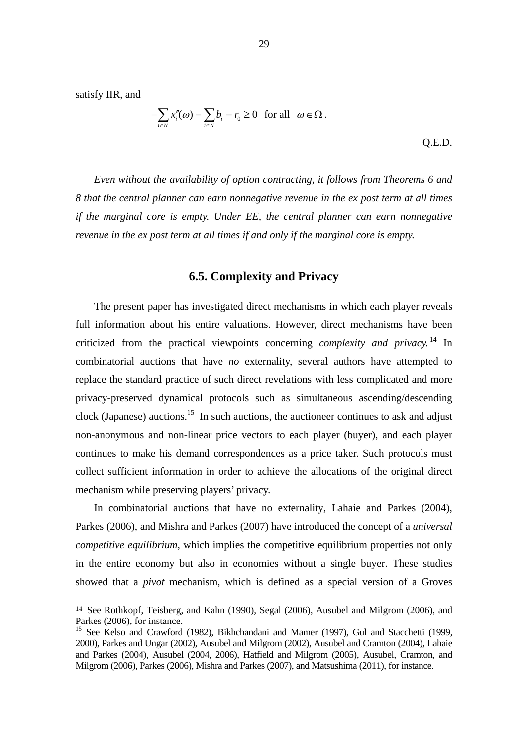satisfy IIR, and

1

$$
-\sum_{i\in N} x_i''(\omega) = \sum_{i\in N} b_i = r_0 \ge 0 \text{ for all } \omega \in \Omega.
$$
 Q.E.D.

*Even without the availability of option contracting, it follows from Theorems 6 and 8 that the central planner can earn nonnegative revenue in the ex post term at all times if the marginal core is empty. Under EE, the central planner can earn nonnegative revenue in the ex post term at all times if and only if the marginal core is empty.* 

## **6.5. Complexity and Privacy**

 The present paper has investigated direct mechanisms in which each player reveals full information about his entire valuations. However, direct mechanisms have been criticized from the practical viewpoints concerning *complexity and privacy.* 14 In combinatorial auctions that have *no* externality, several authors have attempted to replace the standard practice of such direct revelations with less complicated and more privacy-preserved dynamical protocols such as simultaneous ascending/descending clock (Japanese) auctions.<sup>15</sup> In such auctions, the auctioneer continues to ask and adjust non-anonymous and non-linear price vectors to each player (buyer), and each player continues to make his demand correspondences as a price taker. Such protocols must collect sufficient information in order to achieve the allocations of the original direct mechanism while preserving players' privacy.

In combinatorial auctions that have no externality, Lahaie and Parkes (2004), Parkes (2006), and Mishra and Parkes (2007) have introduced the concept of a *universal competitive equilibrium,* which implies the competitive equilibrium properties not only in the entire economy but also in economies without a single buyer. These studies showed that a *pivot* mechanism, which is defined as a special version of a Groves

<sup>14</sup> See Rothkopf, Teisberg, and Kahn (1990), Segal (2006), Ausubel and Milgrom (2006), and Parkes (2006), for instance.

<sup>&</sup>lt;sup>15</sup> See Kelso and Crawford (1982), Bikhchandani and Mamer (1997), Gul and Stacchetti (1999, 2000), Parkes and Ungar (2002), Ausubel and Milgrom (2002), Ausubel and Cramton (2004), Lahaie and Parkes (2004), Ausubel (2004, 2006), Hatfield and Milgrom (2005), Ausubel, Cramton, and Milgrom (2006), Parkes (2006), Mishra and Parkes (2007), and Matsushima (2011), for instance.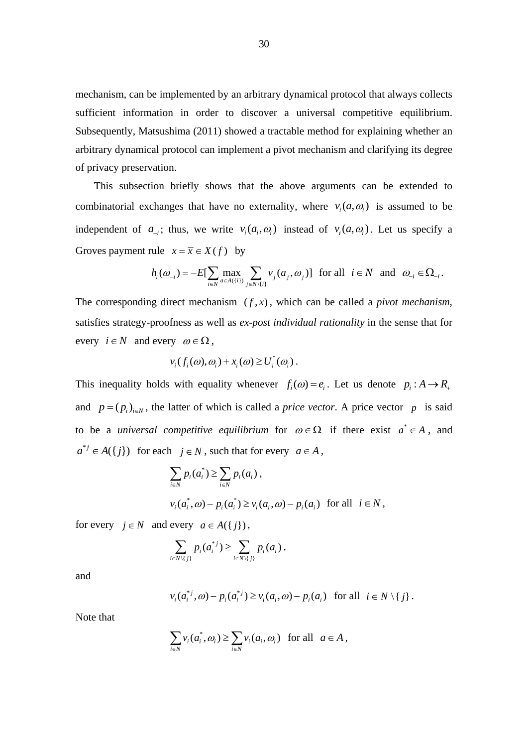mechanism, can be implemented by an arbitrary dynamical protocol that always collects sufficient information in order to discover a universal competitive equilibrium. Subsequently, Matsushima (2011) showed a tractable method for explaining whether an arbitrary dynamical protocol can implement a pivot mechanism and clarifying its degree of privacy preservation.

This subsection briefly shows that the above arguments can be extended to combinatorial exchanges that have no externality, where  $v_i(a, \omega)$  is assumed to be independent of  $a_{-i}$ ; thus, we write  $v_i(a_i, \omega_i)$  instead of  $v_i(a, \omega_i)$ . Let us specify a Groves payment rule  $x = \overline{x} \in X(f)$  by

$$
h_i(\omega_{-i}) = -E[\sum_{i \in N} \max_{a \in A(\{i\})} \sum_{j \in N \setminus \{i\}} v_j(a_j, \omega_j)] \text{ for all } i \in N \text{ and } \omega_{-i} \in \Omega_{-i}.
$$

The corresponding direct mechanism  $(f, x)$ , which can be called a *pivot mechanism*, satisfies strategy-proofness as well as *ex-post individual rationality* in the sense that for every  $i \in N$  and every  $\omega \in \Omega$ ,

$$
v_i(f_i(\omega), \omega_i) + x_i(\omega) \ge U_i^*(\omega_i).
$$

This inequality holds with equality whenever  $f_i(\omega) = e_i$ . Let us denote  $p_i : A \to R$ and  $p = (p_i)_{i \in N}$ , the latter of which is called a *price vector*. A price vector *p* is said to be a *universal competitive equilibrium* for  $\omega \in \Omega$  if there exist  $a^* \in A$ , and  $a^{*j} \in A({j})$  for each  $j \in N$ , such that for every  $a \in A$ ,

$$
\sum_{i\in N} p_i(a_i^*) \ge \sum_{i\in N} p_i(a_i),
$$
  

$$
v_i(a_i^*, \omega) - p_i(a_i^*) \ge v_i(a_i, \omega) - p_i(a_i) \text{ for all } i \in N,
$$

for every  $j \in N$  and every  $a \in A({j})$ ,

$$
\sum_{i\in N\setminus\{j\}} p_i(a_i^{*j}) \geq \sum_{i\in N\setminus\{j\}} p_i(a_i),
$$

and

$$
v_i(a_i^{*j}, \omega) - p_i(a_i^{*j}) \ge v_i(a_i, \omega) - p_i(a_i) \text{ for all } i \in N \setminus \{j\}.
$$

Note that

$$
\sum_{i\in N} v_i(a_i^*, \omega_i) \ge \sum_{i\in N} v_i(a_i, \omega_i) \text{ for all } a \in A,
$$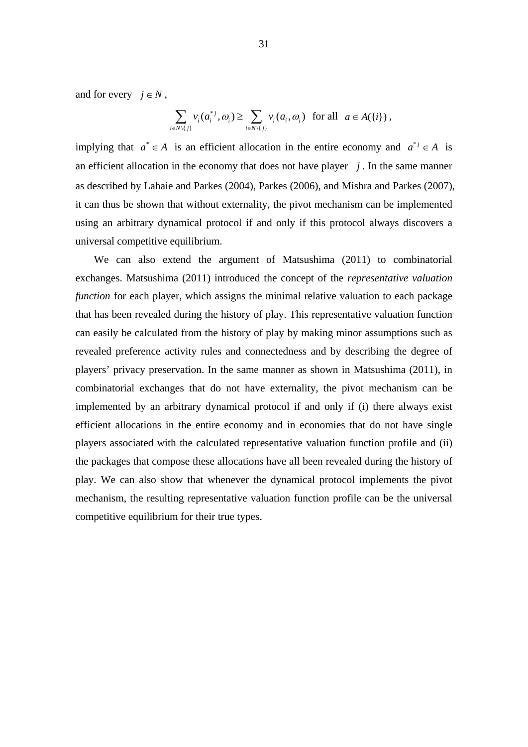and for every  $i \in N$ .

$$
\sum_{i\in N\setminus\{j\}}v_i(a_i^{*j},\omega_i)\geq \sum_{i\in N\setminus\{j\}}v_i(a_i,\omega_i) \text{ for all } a\in A(\{i\}),
$$

implying that  $a^* \in A$  is an efficient allocation in the entire economy and  $a^{*j} \in A$  is an efficient allocation in the economy that does not have player  $j$ . In the same manner as described by Lahaie and Parkes (2004), Parkes (2006), and Mishra and Parkes (2007), it can thus be shown that without externality, the pivot mechanism can be implemented using an arbitrary dynamical protocol if and only if this protocol always discovers a universal competitive equilibrium.

 We can also extend the argument of Matsushima (2011) to combinatorial exchanges. Matsushima (2011) introduced the concept of the *representative valuation function* for each player, which assigns the minimal relative valuation to each package that has been revealed during the history of play. This representative valuation function can easily be calculated from the history of play by making minor assumptions such as revealed preference activity rules and connectedness and by describing the degree of players' privacy preservation. In the same manner as shown in Matsushima (2011), in combinatorial exchanges that do not have externality, the pivot mechanism can be implemented by an arbitrary dynamical protocol if and only if (i) there always exist efficient allocations in the entire economy and in economies that do not have single players associated with the calculated representative valuation function profile and (ii) the packages that compose these allocations have all been revealed during the history of play. We can also show that whenever the dynamical protocol implements the pivot mechanism, the resulting representative valuation function profile can be the universal competitive equilibrium for their true types.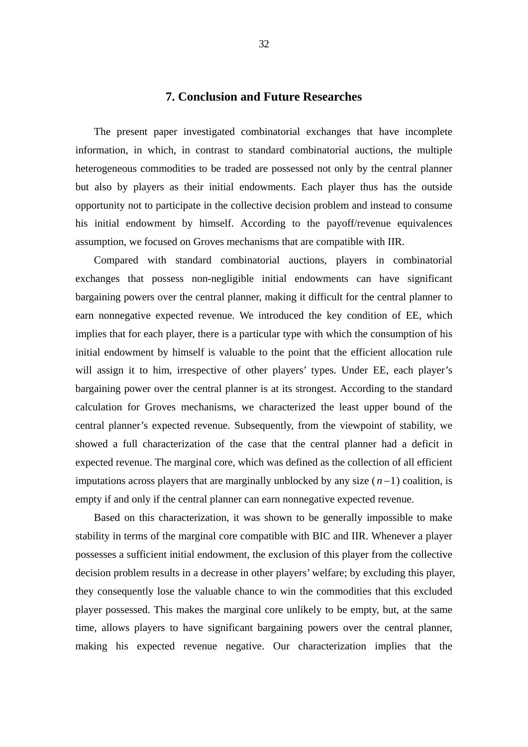#### **7. Conclusion and Future Researches**

The present paper investigated combinatorial exchanges that have incomplete information, in which, in contrast to standard combinatorial auctions, the multiple heterogeneous commodities to be traded are possessed not only by the central planner but also by players as their initial endowments. Each player thus has the outside opportunity not to participate in the collective decision problem and instead to consume his initial endowment by himself. According to the payoff/revenue equivalences assumption, we focused on Groves mechanisms that are compatible with IIR.

 Compared with standard combinatorial auctions, players in combinatorial exchanges that possess non-negligible initial endowments can have significant bargaining powers over the central planner, making it difficult for the central planner to earn nonnegative expected revenue. We introduced the key condition of EE, which implies that for each player, there is a particular type with which the consumption of his initial endowment by himself is valuable to the point that the efficient allocation rule will assign it to him, irrespective of other players' types. Under EE, each player's bargaining power over the central planner is at its strongest. According to the standard calculation for Groves mechanisms, we characterized the least upper bound of the central planner's expected revenue. Subsequently, from the viewpoint of stability, we showed a full characterization of the case that the central planner had a deficit in expected revenue. The marginal core, which was defined as the collection of all efficient imputations across players that are marginally unblocked by any size  $(n-1)$  coalition, is empty if and only if the central planner can earn nonnegative expected revenue.

 Based on this characterization, it was shown to be generally impossible to make stability in terms of the marginal core compatible with BIC and IIR. Whenever a player possesses a sufficient initial endowment, the exclusion of this player from the collective decision problem results in a decrease in other players' welfare; by excluding this player, they consequently lose the valuable chance to win the commodities that this excluded player possessed. This makes the marginal core unlikely to be empty, but, at the same time, allows players to have significant bargaining powers over the central planner, making his expected revenue negative. Our characterization implies that the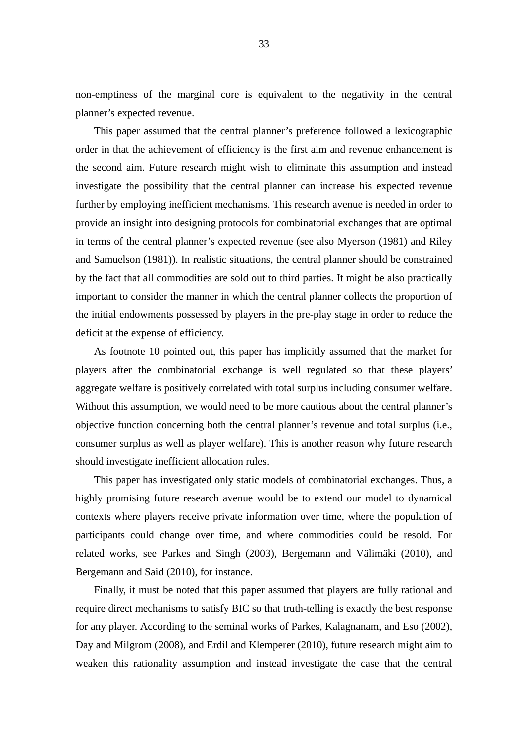non-emptiness of the marginal core is equivalent to the negativity in the central planner's expected revenue.

 This paper assumed that the central planner's preference followed a lexicographic order in that the achievement of efficiency is the first aim and revenue enhancement is the second aim. Future research might wish to eliminate this assumption and instead investigate the possibility that the central planner can increase his expected revenue further by employing inefficient mechanisms. This research avenue is needed in order to provide an insight into designing protocols for combinatorial exchanges that are optimal in terms of the central planner's expected revenue (see also Myerson (1981) and Riley and Samuelson (1981)). In realistic situations, the central planner should be constrained by the fact that all commodities are sold out to third parties. It might be also practically important to consider the manner in which the central planner collects the proportion of the initial endowments possessed by players in the pre-play stage in order to reduce the deficit at the expense of efficiency.

 As footnote 10 pointed out, this paper has implicitly assumed that the market for players after the combinatorial exchange is well regulated so that these players' aggregate welfare is positively correlated with total surplus including consumer welfare. Without this assumption, we would need to be more cautious about the central planner's objective function concerning both the central planner's revenue and total surplus (i.e., consumer surplus as well as player welfare). This is another reason why future research should investigate inefficient allocation rules.

 This paper has investigated only static models of combinatorial exchanges. Thus, a highly promising future research avenue would be to extend our model to dynamical contexts where players receive private information over time, where the population of participants could change over time, and where commodities could be resold. For related works, see Parkes and Singh (2003), Bergemann and Välimäki (2010), and Bergemann and Said (2010), for instance.

 Finally, it must be noted that this paper assumed that players are fully rational and require direct mechanisms to satisfy BIC so that truth-telling is exactly the best response for any player. According to the seminal works of Parkes, Kalagnanam, and Eso (2002), Day and Milgrom (2008), and Erdil and Klemperer (2010), future research might aim to weaken this rationality assumption and instead investigate the case that the central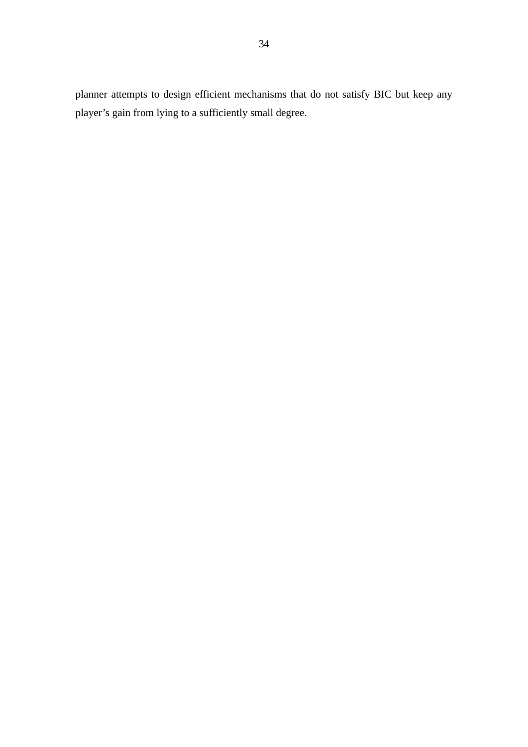planner attempts to design efficient mechanisms that do not satisfy BIC but keep any player's gain from lying to a sufficiently small degree.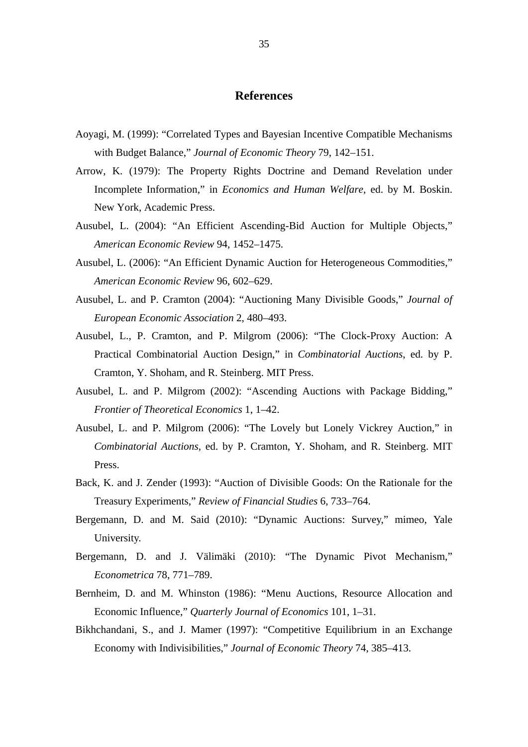## **References**

- Aoyagi, M. (1999): "Correlated Types and Bayesian Incentive Compatible Mechanisms with Budget Balance," *Journal of Economic Theory* 79, 142–151.
- Arrow, K. (1979): The Property Rights Doctrine and Demand Revelation under Incomplete Information," in *Economics and Human Welfare,* ed. by M. Boskin. New York, Academic Press.
- Ausubel, L. (2004): "An Efficient Ascending-Bid Auction for Multiple Objects," *American Economic Review* 94, 1452–1475.
- Ausubel, L. (2006): "An Efficient Dynamic Auction for Heterogeneous Commodities," *American Economic Review* 96, 602–629.
- Ausubel, L. and P. Cramton (2004): "Auctioning Many Divisible Goods," *Journal of European Economic Association* 2, 480–493.
- Ausubel, L., P. Cramton, and P. Milgrom (2006): "The Clock-Proxy Auction: A Practical Combinatorial Auction Design," in *Combinatorial Auctions*, ed. by P. Cramton, Y. Shoham, and R. Steinberg. MIT Press.
- Ausubel, L. and P. Milgrom (2002): "Ascending Auctions with Package Bidding," *Frontier of Theoretical Economics* 1, 1–42.
- Ausubel, L. and P. Milgrom (2006): "The Lovely but Lonely Vickrey Auction," in *Combinatorial Auctions*, ed. by P. Cramton, Y. Shoham, and R. Steinberg. MIT Press.
- Back, K. and J. Zender (1993): "Auction of Divisible Goods: On the Rationale for the Treasury Experiments," *Review of Financial Studies* 6, 733–764.
- Bergemann, D. and M. Said (2010): "Dynamic Auctions: Survey," mimeo, Yale University.
- Bergemann, D. and J. Välimäki (2010): "The Dynamic Pivot Mechanism," *Econometrica* 78, 771–789.
- Bernheim, D. and M. Whinston (1986): "Menu Auctions, Resource Allocation and Economic Influence," *Quarterly Journal of Economics* 101, 1–31.
- Bikhchandani, S., and J. Mamer (1997): "Competitive Equilibrium in an Exchange Economy with Indivisibilities," *Journal of Economic Theory* 74, 385–413.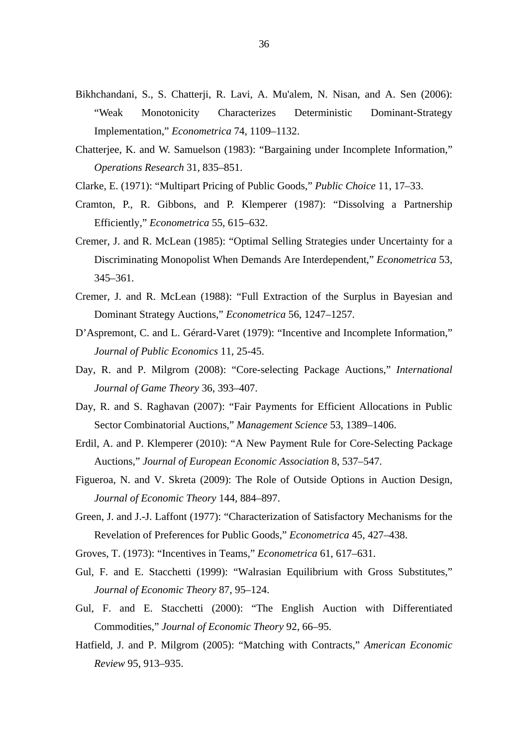- Bikhchandani, S., S. Chatterji, R. Lavi, A. Mu'alem, N. Nisan, and A. Sen (2006): "Weak Monotonicity Characterizes Deterministic Dominant-Strategy Implementation," *Econometrica* 74, 1109–1132.
- Chatterjee, K. and W. Samuelson (1983): "Bargaining under Incomplete Information," *Operations Research* 31, 835–851.
- Clarke, E. (1971): "Multipart Pricing of Public Goods," *Public Choice* 11, 17–33.
- Cramton, P., R. Gibbons, and P. Klemperer (1987): "Dissolving a Partnership Efficiently," *Econometrica* 55, 615–632.
- Cremer, J. and R. McLean (1985): "Optimal Selling Strategies under Uncertainty for a Discriminating Monopolist When Demands Are Interdependent," *Econometrica* 53, 345–361.
- Cremer, J. and R. McLean (1988): "Full Extraction of the Surplus in Bayesian and Dominant Strategy Auctions," *Econometrica* 56, 1247–1257.
- D'Aspremont, C. and L. Gérard-Varet (1979): "Incentive and Incomplete Information," *Journal of Public Economics* 11, 25-45.
- Day, R. and P. Milgrom (2008): "Core-selecting Package Auctions," *International Journal of Game Theory* 36, 393–407.
- Day, R. and S. Raghavan (2007): "Fair Payments for Efficient Allocations in Public Sector Combinatorial Auctions," *Management Science* 53, 1389–1406.
- Erdil, A. and P. Klemperer (2010): "A New Payment Rule for Core-Selecting Package Auctions," *Journal of European Economic Association* 8, 537–547.
- Figueroa, N. and V. Skreta (2009): The Role of Outside Options in Auction Design, *Journal of Economic Theory* 144, 884–897.
- Green, J. and J.-J. Laffont (1977): "Characterization of Satisfactory Mechanisms for the Revelation of Preferences for Public Goods," *Econometrica* 45, 427–438.
- Groves, T. (1973): "Incentives in Teams," *Econometrica* 61, 617–631.
- Gul, F. and E. Stacchetti (1999): "Walrasian Equilibrium with Gross Substitutes," *Journal of Economic Theory* 87, 95–124.
- Gul, F. and E. Stacchetti (2000): "The English Auction with Differentiated Commodities," *Journal of Economic Theory* 92, 66–95.
- Hatfield, J. and P. Milgrom (2005): "Matching with Contracts," *American Economic Review* 95, 913–935.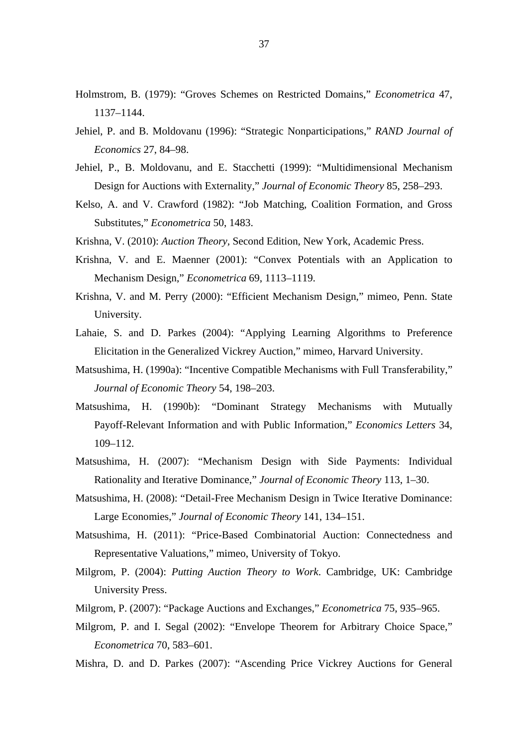- Holmstrom, B. (1979): "Groves Schemes on Restricted Domains," *Econometrica* 47, 1137–1144.
- Jehiel, P. and B. Moldovanu (1996): "Strategic Nonparticipations," *RAND Journal of Economics* 27, 84–98.
- Jehiel, P., B. Moldovanu, and E. Stacchetti (1999): "Multidimensional Mechanism Design for Auctions with Externality," *Journal of Economic Theory* 85, 258–293.
- Kelso, A. and V. Crawford (1982): "Job Matching, Coalition Formation, and Gross Substitutes," *Econometrica* 50, 1483.
- Krishna, V. (2010): *Auction Theory,* Second Edition, New York, Academic Press.
- Krishna, V. and E. Maenner (2001): "Convex Potentials with an Application to Mechanism Design," *Econometrica* 69, 1113–1119.
- Krishna, V. and M. Perry (2000): "Efficient Mechanism Design," mimeo, Penn. State University.
- Lahaie, S. and D. Parkes (2004): "Applying Learning Algorithms to Preference Elicitation in the Generalized Vickrey Auction," mimeo, Harvard University.
- Matsushima, H. (1990a): "Incentive Compatible Mechanisms with Full Transferability," *Journal of Economic Theory* 54, 198–203.
- Matsushima, H. (1990b): "Dominant Strategy Mechanisms with Mutually Payoff-Relevant Information and with Public Information," *Economics Letters* 34, 109–112.
- Matsushima, H. (2007): "Mechanism Design with Side Payments: Individual Rationality and Iterative Dominance," *Journal of Economic Theory* 113, 1–30.
- Matsushima, H. (2008): "Detail-Free Mechanism Design in Twice Iterative Dominance: Large Economies," *Journal of Economic Theory* 141, 134–151.
- Matsushima, H. (2011): "Price-Based Combinatorial Auction: Connectedness and Representative Valuations," mimeo, University of Tokyo.
- Milgrom, P. (2004): *Putting Auction Theory to Work*. Cambridge, UK: Cambridge University Press.
- Milgrom, P. (2007): "Package Auctions and Exchanges," *Econometrica* 75, 935–965.
- Milgrom, P. and I. Segal (2002): "Envelope Theorem for Arbitrary Choice Space," *Econometrica* 70, 583–601.
- Mishra, D. and D. Parkes (2007): "Ascending Price Vickrey Auctions for General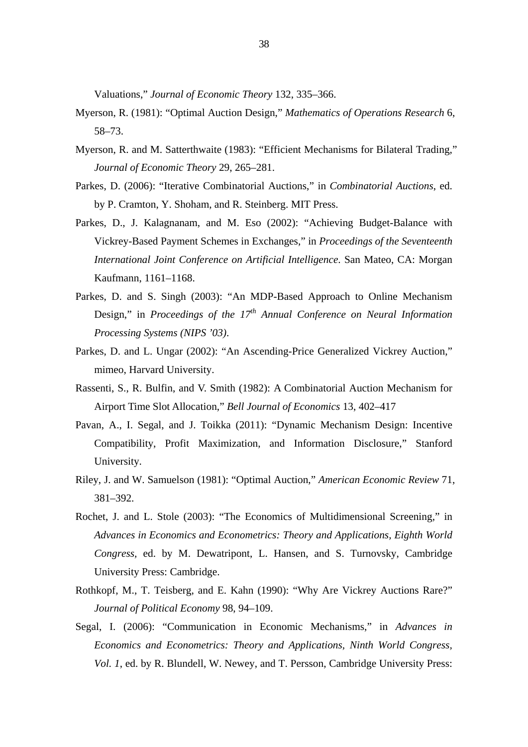Valuations," *Journal of Economic Theory* 132, 335–366.

- Myerson, R. (1981): "Optimal Auction Design," *Mathematics of Operations Research* 6, 58–73.
- Myerson, R. and M. Satterthwaite (1983): "Efficient Mechanisms for Bilateral Trading," *Journal of Economic Theory* 29, 265–281.
- Parkes, D. (2006): "Iterative Combinatorial Auctions," in *Combinatorial Auctions*, ed. by P. Cramton, Y. Shoham, and R. Steinberg. MIT Press.
- Parkes, D., J. Kalagnanam, and M. Eso (2002): "Achieving Budget-Balance with Vickrey-Based Payment Schemes in Exchanges," in *Proceedings of the Seventeenth International Joint Conference on Artificial Intelligence*. San Mateo, CA: Morgan Kaufmann, 1161–1168.
- Parkes, D. and S. Singh (2003): "An MDP-Based Approach to Online Mechanism Design," in *Proceedings of the 17<sup>th</sup> Annual Conference on Neural Information Processing Systems (NIPS '03)*.
- Parkes, D. and L. Ungar (2002): "An Ascending-Price Generalized Vickrey Auction," mimeo, Harvard University.
- Rassenti, S., R. Bulfin, and V. Smith (1982): A Combinatorial Auction Mechanism for Airport Time Slot Allocation," *Bell Journal of Economics* 13, 402–417
- Pavan, A., I. Segal, and J. Toikka (2011): "Dynamic Mechanism Design: Incentive Compatibility, Profit Maximization, and Information Disclosure," Stanford University.
- Riley, J. and W. Samuelson (1981): "Optimal Auction," *American Economic Review* 71, 381–392.
- Rochet, J. and L. Stole (2003): "The Economics of Multidimensional Screening," in *Advances in Economics and Econometrics: Theory and Applications, Eighth World Congress,* ed. by M. Dewatripont, L. Hansen, and S. Turnovsky, Cambridge University Press: Cambridge.
- Rothkopf, M., T. Teisberg, and E. Kahn (1990): "Why Are Vickrey Auctions Rare?" *Journal of Political Economy* 98, 94–109.
- Segal, I. (2006): "Communication in Economic Mechanisms," in *Advances in Economics and Econometrics: Theory and Applications, Ninth World Congress, Vol. 1*, ed. by R. Blundell, W. Newey, and T. Persson, Cambridge University Press: